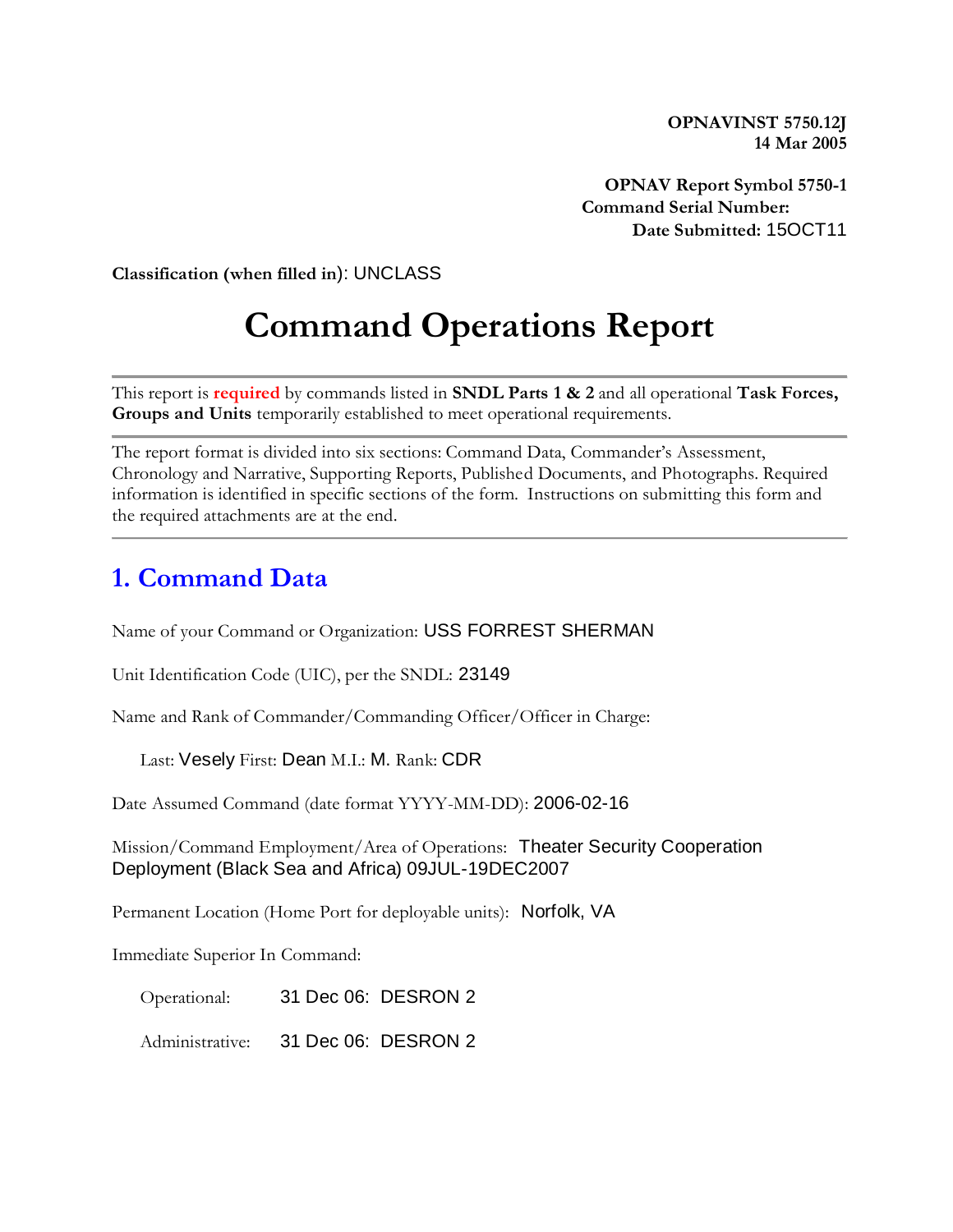**OPNAVINST 5750.12J 14 Mar 2005**

**OPNAV Report Symbol 5750-1 Command Serial Number: Date Submitted:** 15OCT11

**Classification (when filled in**): UNCLASS

# **Command Operations Report**

This report is **required** by commands listed in **SNDL Parts 1 & 2** and all operational **Task Forces, Groups and Units** temporarily established to meet operational requirements.

The report format is divided into six sections: Command Data, Commander's Assessment, Chronology and Narrative, Supporting Reports, Published Documents, and Photographs. Required information is identified in specific sections of the form. Instructions on submitting this form and the required attachments are at the end.

### **1. Command Data**

Name of your Command or Organization: USS FORREST SHERMAN

Unit Identification Code (UIC), per the SNDL: 23149

Name and Rank of Commander/Commanding Officer/Officer in Charge:

Last: Vesely First: Dean M.I.: M. Rank: CDR

Date Assumed Command (date format YYYY-MM-DD): 2006-02-16

Mission/Command Employment/Area of Operations: Theater Security Cooperation Deployment (Black Sea and Africa) 09JUL-19DEC2007

Permanent Location (Home Port for deployable units): Norfolk, VA

Immediate Superior In Command:

Operational: 31 Dec 06: DESRON 2

Administrative: 31 Dec 06: DESRON 2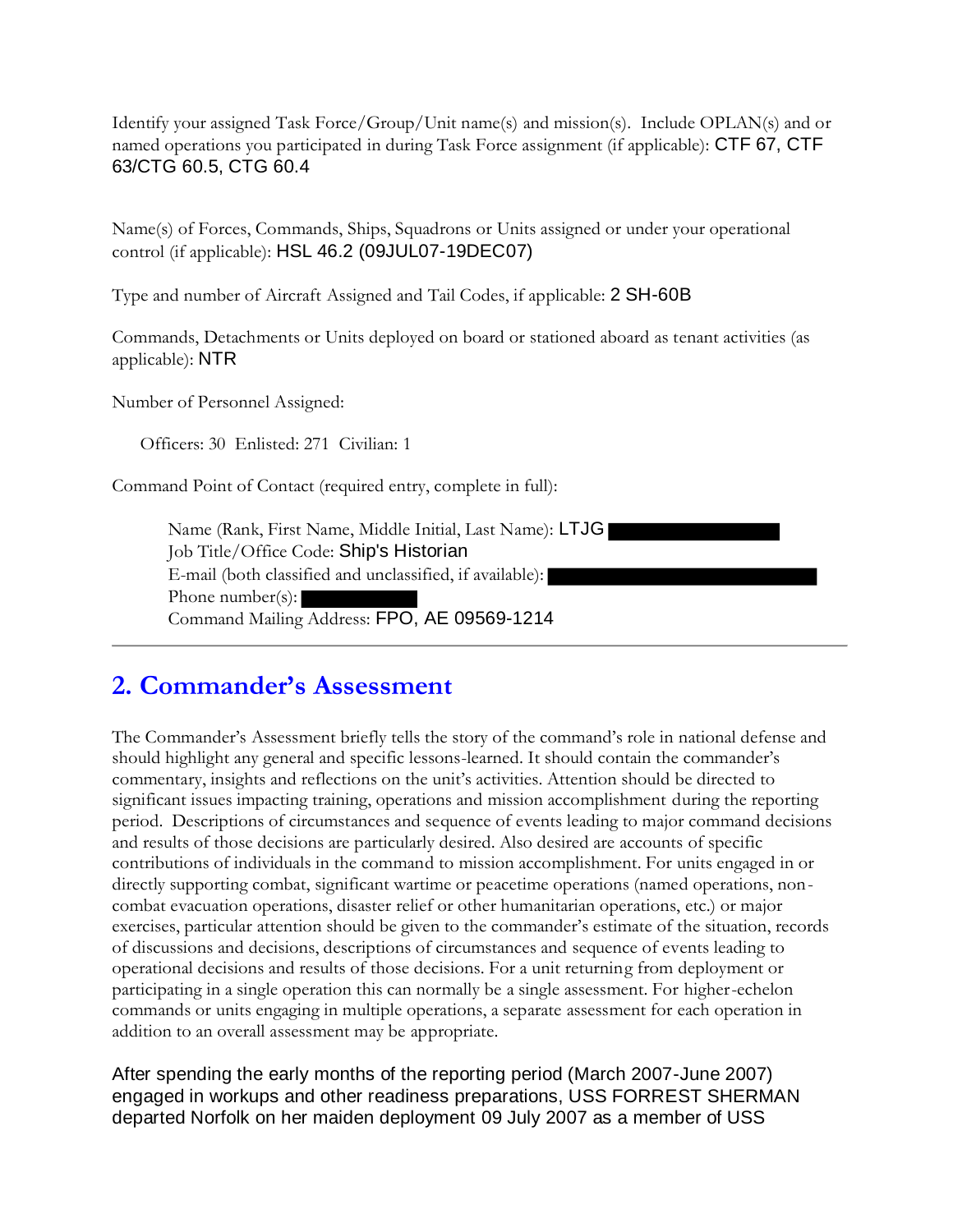Identify your assigned Task Force/Group/Unit name(s) and mission(s). Include OPLAN(s) and or named operations you participated in during Task Force assignment (if applicable): CTF 67, CTF 63/CTG 60.5, CTG 60.4

Name(s) of Forces, Commands, Ships, Squadrons or Units assigned or under your operational control (if applicable): HSL 46.2 (09JUL07-19DEC07)

Type and number of Aircraft Assigned and Tail Codes, if applicable: 2 SH-60B

Commands, Detachments or Units deployed on board or stationed aboard as tenant activities (as applicable): NTR

Number of Personnel Assigned:

Officers: 30 Enlisted: 271 Civilian: 1

Command Point of Contact (required entry, complete in full):

Name (Rank, First Name, Middle Initial, Last Name): LTJG Job Title/Office Code: Ship's Historian E-mail (both classified and unclassified, if available): Phone number(s): Command Mailing Address: FPO, AE 09569-1214

## **2. Commander's Assessment**

The Commander's Assessment briefly tells the story of the command's role in national defense and should highlight any general and specific lessons-learned. It should contain the commander's commentary, insights and reflections on the unit's activities. Attention should be directed to significant issues impacting training, operations and mission accomplishment during the reporting period. Descriptions of circumstances and sequence of events leading to major command decisions and results of those decisions are particularly desired. Also desired are accounts of specific contributions of individuals in the command to mission accomplishment. For units engaged in or directly supporting combat, significant wartime or peacetime operations (named operations, noncombat evacuation operations, disaster relief or other humanitarian operations, etc.) or major exercises, particular attention should be given to the commander's estimate of the situation, records of discussions and decisions, descriptions of circumstances and sequence of events leading to operational decisions and results of those decisions. For a unit returning from deployment or participating in a single operation this can normally be a single assessment. For higher-echelon commands or units engaging in multiple operations, a separate assessment for each operation in addition to an overall assessment may be appropriate.

After spending the early months of the reporting period (March 2007-June 2007) engaged in workups and other readiness preparations, USS FORREST SHERMAN departed Norfolk on her maiden deployment 09 July 2007 as a member of USS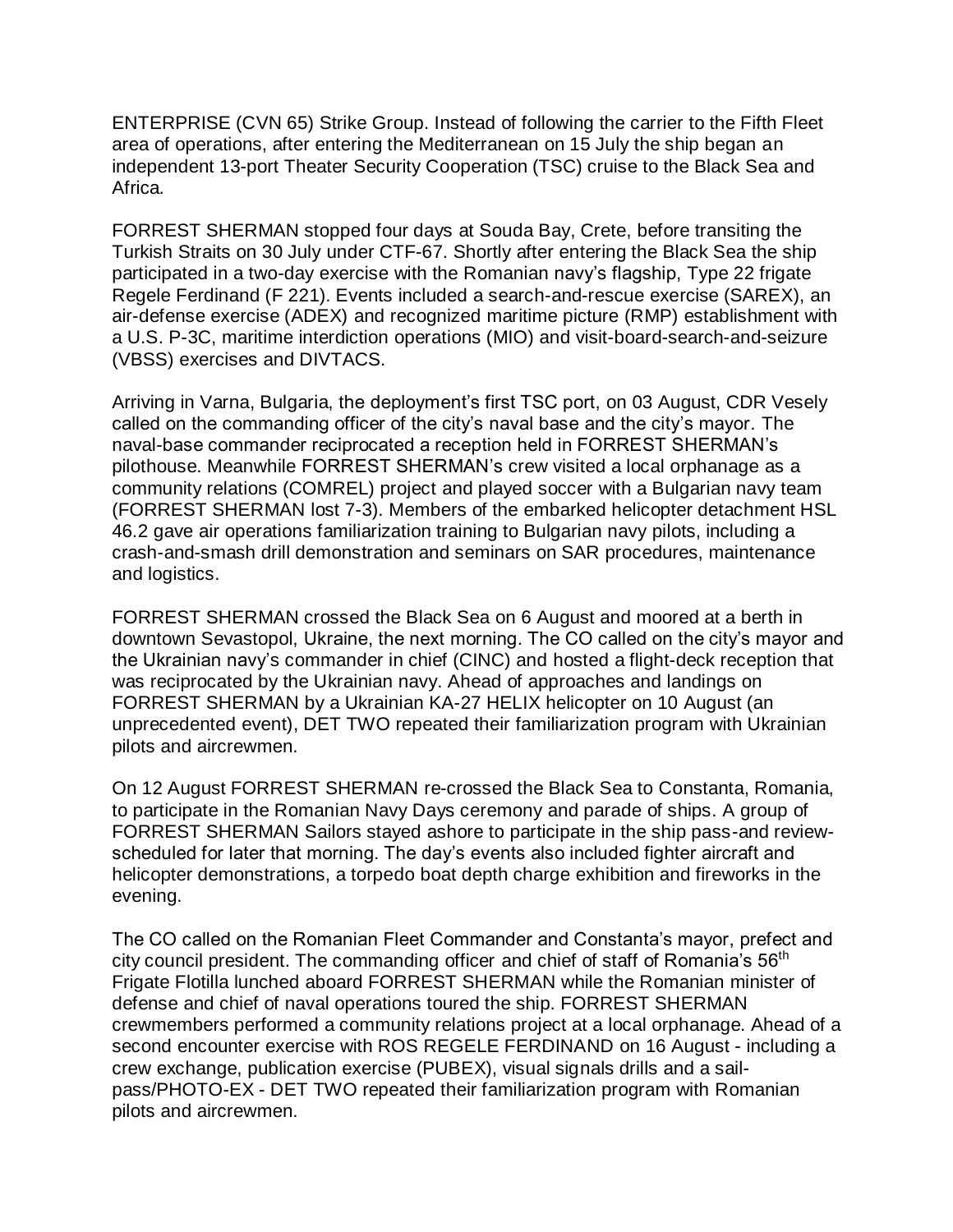ENTERPRISE (CVN 65) Strike Group. Instead of following the carrier to the Fifth Fleet area of operations, after entering the Mediterranean on 15 July the ship began an independent 13-port Theater Security Cooperation (TSC) cruise to the Black Sea and Africa.

FORREST SHERMAN stopped four days at Souda Bay, Crete, before transiting the Turkish Straits on 30 July under CTF-67. Shortly after entering the Black Sea the ship participated in a two-day exercise with the Romanian navy's flagship, Type 22 frigate Regele Ferdinand (F 221). Events included a search-and-rescue exercise (SAREX), an air-defense exercise (ADEX) and recognized maritime picture (RMP) establishment with a U.S. P-3C, maritime interdiction operations (MIO) and visit-board-search-and-seizure (VBSS) exercises and DIVTACS.

Arriving in Varna, Bulgaria, the deployment's first TSC port, on 03 August, CDR Vesely called on the commanding officer of the city's naval base and the city's mayor. The naval-base commander reciprocated a reception held in FORREST SHERMAN's pilothouse. Meanwhile FORREST SHERMAN's crew visited a local orphanage as a community relations (COMREL) project and played soccer with a Bulgarian navy team (FORREST SHERMAN lost 7-3). Members of the embarked helicopter detachment HSL 46.2 gave air operations familiarization training to Bulgarian navy pilots, including a crash-and-smash drill demonstration and seminars on SAR procedures, maintenance and logistics.

FORREST SHERMAN crossed the Black Sea on 6 August and moored at a berth in downtown Sevastopol, Ukraine, the next morning. The CO called on the city's mayor and the Ukrainian navy's commander in chief (CINC) and hosted a flight-deck reception that was reciprocated by the Ukrainian navy. Ahead of approaches and landings on FORREST SHERMAN by a Ukrainian KA-27 HELIX helicopter on 10 August (an unprecedented event), DET TWO repeated their familiarization program with Ukrainian pilots and aircrewmen.

On 12 August FORREST SHERMAN re-crossed the Black Sea to Constanta, Romania, to participate in the Romanian Navy Days ceremony and parade of ships. A group of FORREST SHERMAN Sailors stayed ashore to participate in the ship pass-and reviewscheduled for later that morning. The day's events also included fighter aircraft and helicopter demonstrations, a torpedo boat depth charge exhibition and fireworks in the evening.

The CO called on the Romanian Fleet Commander and Constanta's mayor, prefect and city council president. The commanding officer and chief of staff of Romania's 56th Frigate Flotilla lunched aboard FORREST SHERMAN while the Romanian minister of defense and chief of naval operations toured the ship. FORREST SHERMAN crewmembers performed a community relations project at a local orphanage. Ahead of a second encounter exercise with ROS REGELE FERDINAND on 16 August - including a crew exchange, publication exercise (PUBEX), visual signals drills and a sailpass/PHOTO-EX - DET TWO repeated their familiarization program with Romanian pilots and aircrewmen.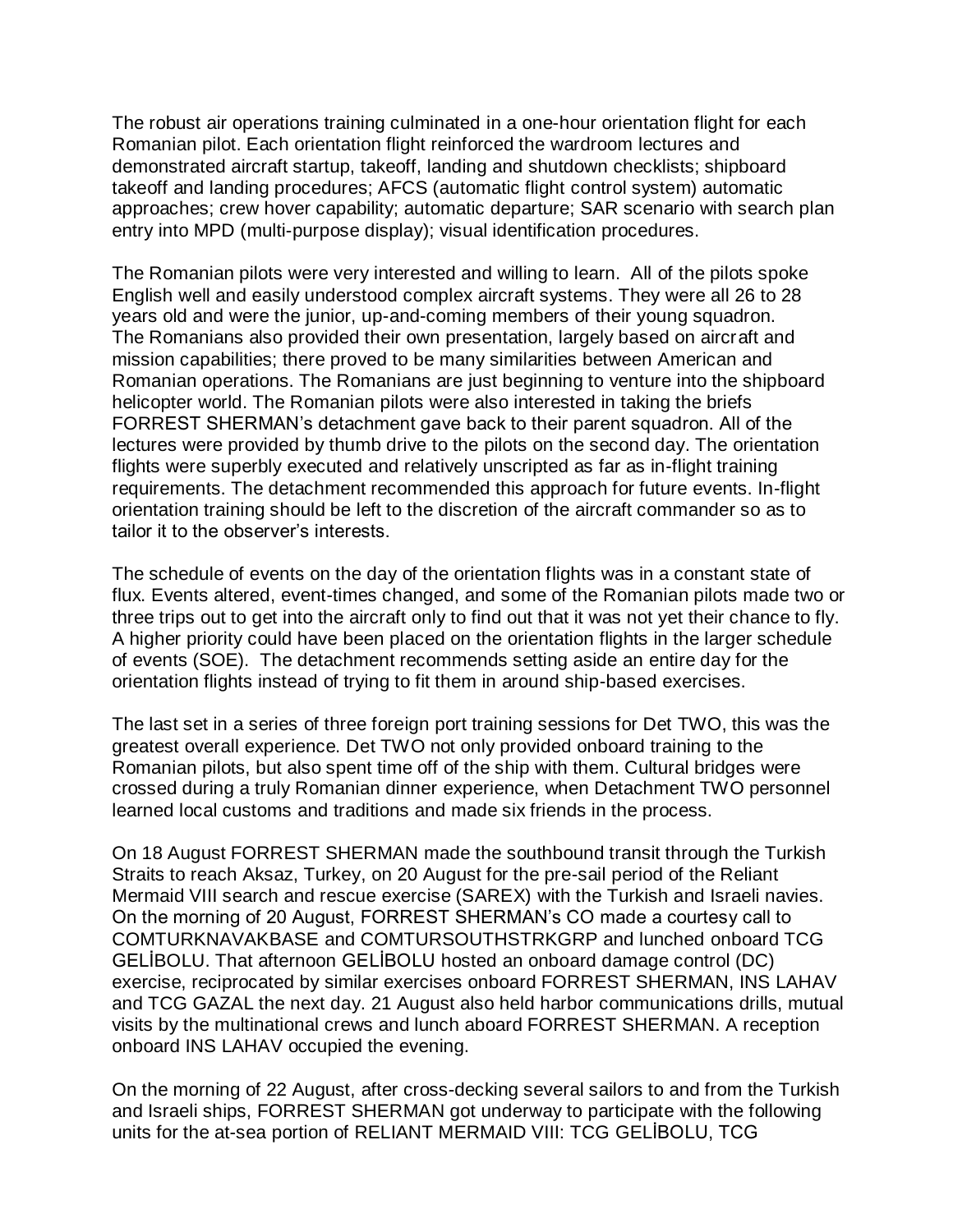The robust air operations training culminated in a one-hour orientation flight for each Romanian pilot. Each orientation flight reinforced the wardroom lectures and demonstrated aircraft startup, takeoff, landing and shutdown checklists; shipboard takeoff and landing procedures; AFCS (automatic flight control system) automatic approaches; crew hover capability; automatic departure; SAR scenario with search plan entry into MPD (multi-purpose display); visual identification procedures.

The Romanian pilots were very interested and willing to learn. All of the pilots spoke English well and easily understood complex aircraft systems. They were all 26 to 28 years old and were the junior, up-and-coming members of their young squadron. The Romanians also provided their own presentation, largely based on aircraft and mission capabilities; there proved to be many similarities between American and Romanian operations. The Romanians are just beginning to venture into the shipboard helicopter world. The Romanian pilots were also interested in taking the briefs FORREST SHERMAN's detachment gave back to their parent squadron. All of the lectures were provided by thumb drive to the pilots on the second day. The orientation flights were superbly executed and relatively unscripted as far as in-flight training requirements. The detachment recommended this approach for future events. In-flight orientation training should be left to the discretion of the aircraft commander so as to tailor it to the observer's interests.

The schedule of events on the day of the orientation flights was in a constant state of flux. Events altered, event-times changed, and some of the Romanian pilots made two or three trips out to get into the aircraft only to find out that it was not yet their chance to fly. A higher priority could have been placed on the orientation flights in the larger schedule of events (SOE). The detachment recommends setting aside an entire day for the orientation flights instead of trying to fit them in around ship-based exercises.

The last set in a series of three foreign port training sessions for Det TWO, this was the greatest overall experience. Det TWO not only provided onboard training to the Romanian pilots, but also spent time off of the ship with them. Cultural bridges were crossed during a truly Romanian dinner experience, when Detachment TWO personnel learned local customs and traditions and made six friends in the process.

On 18 August FORREST SHERMAN made the southbound transit through the Turkish Straits to reach Aksaz, Turkey, on 20 August for the pre-sail period of the Reliant Mermaid VIII search and rescue exercise (SAREX) with the Turkish and Israeli navies. On the morning of 20 August, FORREST SHERMAN's CO made a courtesy call to COMTURKNAVAKBASE and COMTURSOUTHSTRKGRP and lunched onboard TCG GELİBOLU. That afternoon GELİBOLU hosted an onboard damage control (DC) exercise, reciprocated by similar exercises onboard FORREST SHERMAN, INS LAHAV and TCG GAZAL the next day. 21 August also held harbor communications drills, mutual visits by the multinational crews and lunch aboard FORREST SHERMAN. A reception onboard INS LAHAV occupied the evening.

On the morning of 22 August, after cross-decking several sailors to and from the Turkish and Israeli ships, FORREST SHERMAN got underway to participate with the following units for the at-sea portion of RELIANT MERMAID VIII: TCG GELİBOLU, TCG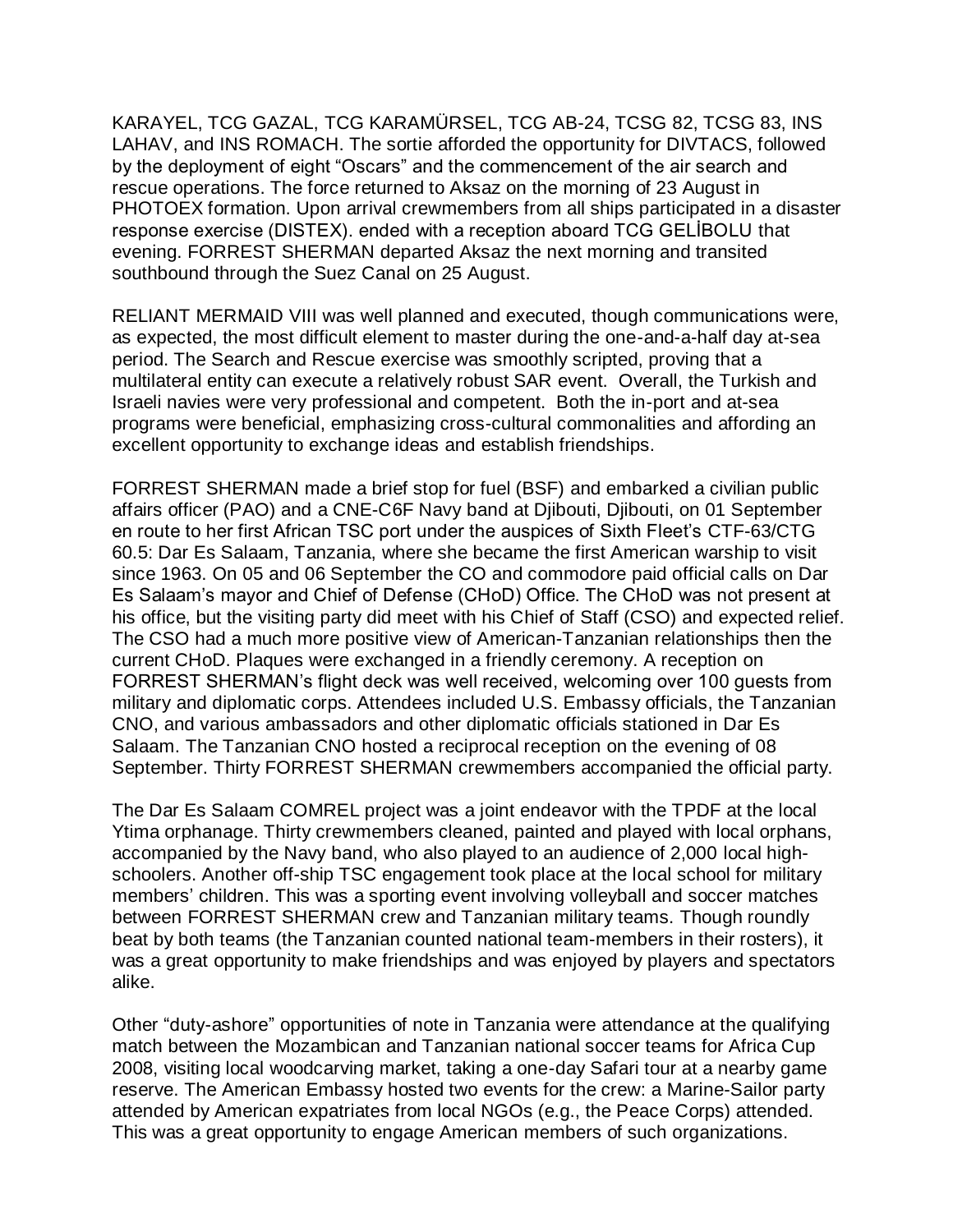KARAYEL, TCG GAZAL, TCG KARAMÜRSEL, TCG AB-24, TCSG 82, TCSG 83, INS LAHAV, and INS ROMACH. The sortie afforded the opportunity for DIVTACS, followed by the deployment of eight "Oscars" and the commencement of the air search and rescue operations. The force returned to Aksaz on the morning of 23 August in PHOTOEX formation. Upon arrival crewmembers from all ships participated in a disaster response exercise (DISTEX). ended with a reception aboard TCG GELİBOLU that evening. FORREST SHERMAN departed Aksaz the next morning and transited southbound through the Suez Canal on 25 August.

RELIANT MERMAID VIII was well planned and executed, though communications were, as expected, the most difficult element to master during the one-and-a-half day at-sea period. The Search and Rescue exercise was smoothly scripted, proving that a multilateral entity can execute a relatively robust SAR event. Overall, the Turkish and Israeli navies were very professional and competent. Both the in-port and at-sea programs were beneficial, emphasizing cross-cultural commonalities and affording an excellent opportunity to exchange ideas and establish friendships.

FORREST SHERMAN made a brief stop for fuel (BSF) and embarked a civilian public affairs officer (PAO) and a CNE-C6F Navy band at Djibouti, Djibouti, on 01 September en route to her first African TSC port under the auspices of Sixth Fleet's CTF-63/CTG 60.5: Dar Es Salaam, Tanzania, where she became the first American warship to visit since 1963. On 05 and 06 September the CO and commodore paid official calls on Dar Es Salaam's mayor and Chief of Defense (CHoD) Office. The CHoD was not present at his office, but the visiting party did meet with his Chief of Staff (CSO) and expected relief. The CSO had a much more positive view of American-Tanzanian relationships then the current CHoD. Plaques were exchanged in a friendly ceremony. A reception on FORREST SHERMAN's flight deck was well received, welcoming over 100 guests from military and diplomatic corps. Attendees included U.S. Embassy officials, the Tanzanian CNO, and various ambassadors and other diplomatic officials stationed in Dar Es Salaam. The Tanzanian CNO hosted a reciprocal reception on the evening of 08 September. Thirty FORREST SHERMAN crewmembers accompanied the official party.

The Dar Es Salaam COMREL project was a joint endeavor with the TPDF at the local Ytima orphanage. Thirty crewmembers cleaned, painted and played with local orphans, accompanied by the Navy band, who also played to an audience of 2,000 local highschoolers. Another off-ship TSC engagement took place at the local school for military members' children. This was a sporting event involving volleyball and soccer matches between FORREST SHERMAN crew and Tanzanian military teams. Though roundly beat by both teams (the Tanzanian counted national team-members in their rosters), it was a great opportunity to make friendships and was enjoyed by players and spectators alike.

Other "duty-ashore" opportunities of note in Tanzania were attendance at the qualifying match between the Mozambican and Tanzanian national soccer teams for Africa Cup 2008, visiting local woodcarving market, taking a one-day Safari tour at a nearby game reserve. The American Embassy hosted two events for the crew: a Marine-Sailor party attended by American expatriates from local NGOs (e.g., the Peace Corps) attended. This was a great opportunity to engage American members of such organizations.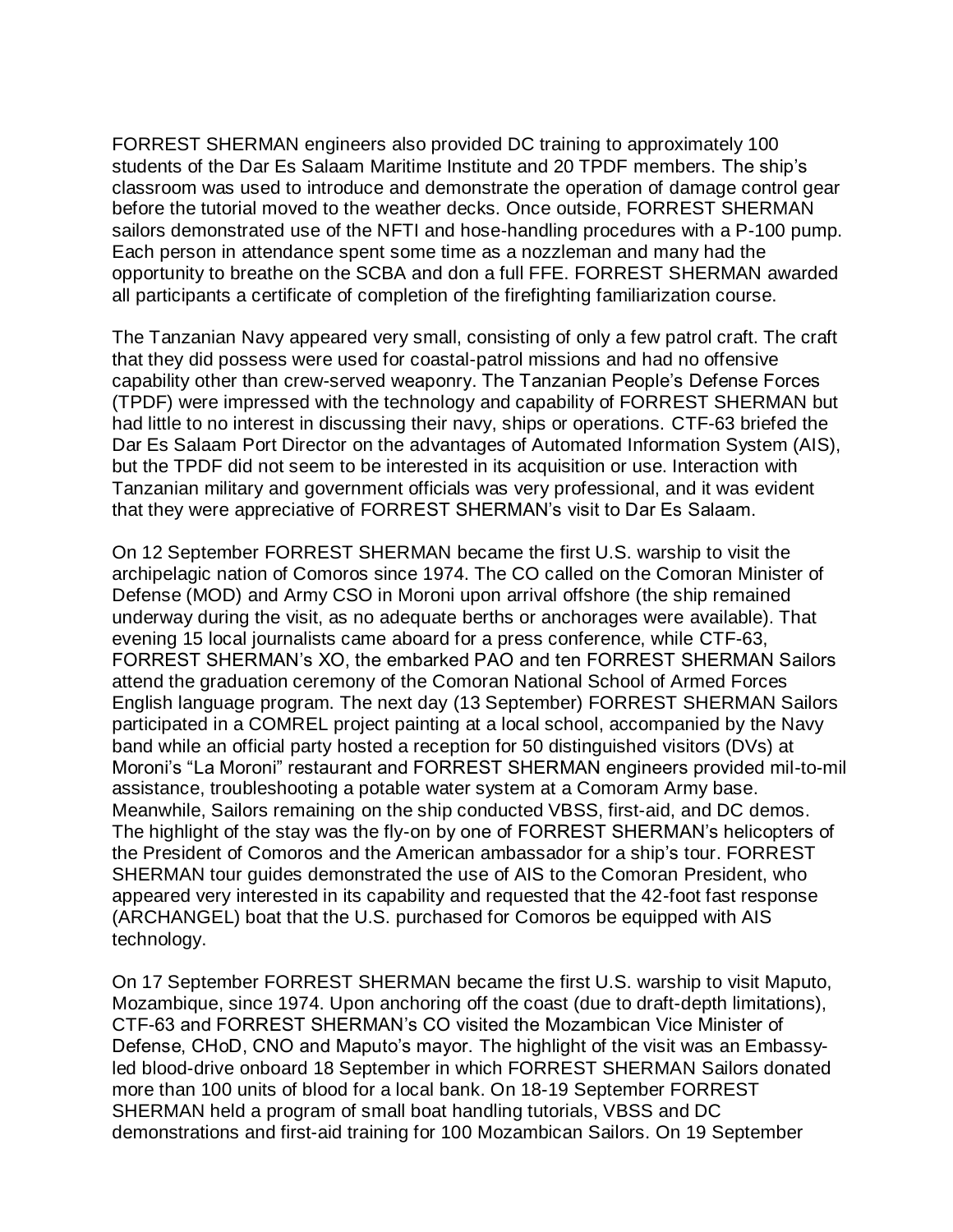FORREST SHERMAN engineers also provided DC training to approximately 100 students of the Dar Es Salaam Maritime Institute and 20 TPDF members. The ship's classroom was used to introduce and demonstrate the operation of damage control gear before the tutorial moved to the weather decks. Once outside, FORREST SHERMAN sailors demonstrated use of the NFTI and hose-handling procedures with a P-100 pump. Each person in attendance spent some time as a nozzleman and many had the opportunity to breathe on the SCBA and don a full FFE. FORREST SHERMAN awarded all participants a certificate of completion of the firefighting familiarization course.

The Tanzanian Navy appeared very small, consisting of only a few patrol craft. The craft that they did possess were used for coastal-patrol missions and had no offensive capability other than crew-served weaponry. The Tanzanian People's Defense Forces (TPDF) were impressed with the technology and capability of FORREST SHERMAN but had little to no interest in discussing their navy, ships or operations. CTF-63 briefed the Dar Es Salaam Port Director on the advantages of Automated Information System (AIS), but the TPDF did not seem to be interested in its acquisition or use. Interaction with Tanzanian military and government officials was very professional, and it was evident that they were appreciative of FORREST SHERMAN's visit to Dar Es Salaam.

On 12 September FORREST SHERMAN became the first U.S. warship to visit the archipelagic nation of Comoros since 1974. The CO called on the Comoran Minister of Defense (MOD) and Army CSO in Moroni upon arrival offshore (the ship remained underway during the visit, as no adequate berths or anchorages were available). That evening 15 local journalists came aboard for a press conference, while CTF-63, FORREST SHERMAN's XO, the embarked PAO and ten FORREST SHERMAN Sailors attend the graduation ceremony of the Comoran National School of Armed Forces English language program. The next day (13 September) FORREST SHERMAN Sailors participated in a COMREL project painting at a local school, accompanied by the Navy band while an official party hosted a reception for 50 distinguished visitors (DVs) at Moroni's "La Moroni" restaurant and FORREST SHERMAN engineers provided mil-to-mil assistance, troubleshooting a potable water system at a Comoram Army base. Meanwhile, Sailors remaining on the ship conducted VBSS, first-aid, and DC demos. The highlight of the stay was the fly-on by one of FORREST SHERMAN's helicopters of the President of Comoros and the American ambassador for a ship's tour. FORREST SHERMAN tour guides demonstrated the use of AIS to the Comoran President, who appeared very interested in its capability and requested that the 42-foot fast response (ARCHANGEL) boat that the U.S. purchased for Comoros be equipped with AIS technology.

On 17 September FORREST SHERMAN became the first U.S. warship to visit Maputo, Mozambique, since 1974. Upon anchoring off the coast (due to draft-depth limitations), CTF-63 and FORREST SHERMAN's CO visited the Mozambican Vice Minister of Defense, CHoD, CNO and Maputo's mayor. The highlight of the visit was an Embassyled blood-drive onboard 18 September in which FORREST SHERMAN Sailors donated more than 100 units of blood for a local bank. On 18-19 September FORREST SHERMAN held a program of small boat handling tutorials, VBSS and DC demonstrations and first-aid training for 100 Mozambican Sailors. On 19 September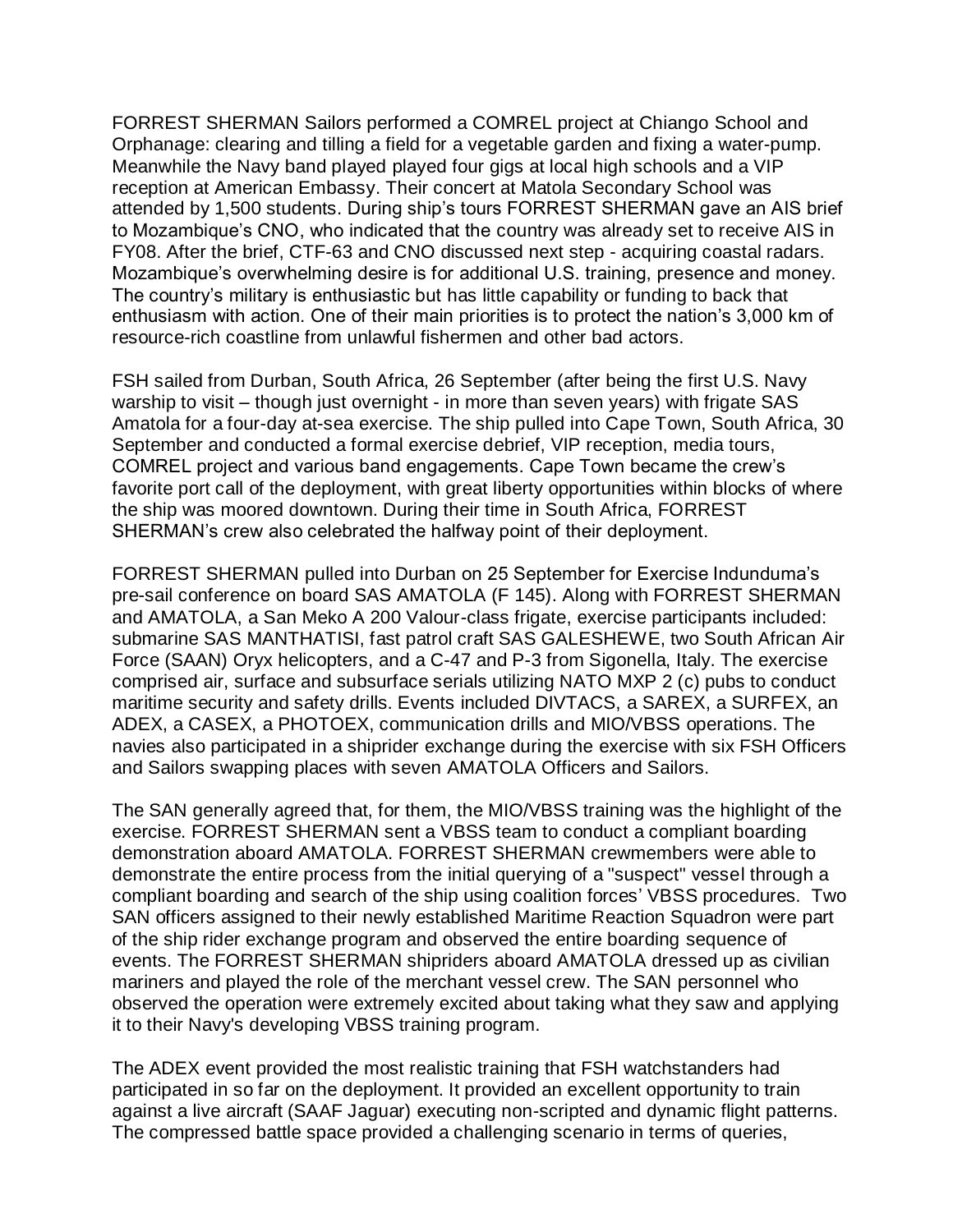FORREST SHERMAN Sailors performed a COMREL project at Chiango School and Orphanage: clearing and tilling a field for a vegetable garden and fixing a water-pump. Meanwhile the Navy band played played four gigs at local high schools and a VIP reception at American Embassy. Their concert at Matola Secondary School was attended by 1,500 students. During ship's tours FORREST SHERMAN gave an AIS brief to Mozambique's CNO, who indicated that the country was already set to receive AIS in FY08. After the brief, CTF-63 and CNO discussed next step - acquiring coastal radars. Mozambique's overwhelming desire is for additional U.S. training, presence and money. The country's military is enthusiastic but has little capability or funding to back that enthusiasm with action. One of their main priorities is to protect the nation's 3,000 km of resource-rich coastline from unlawful fishermen and other bad actors.

FSH sailed from Durban, South Africa, 26 September (after being the first U.S. Navy warship to visit – though just overnight - in more than seven years) with frigate SAS Amatola for a four-day at-sea exercise. The ship pulled into Cape Town, South Africa, 30 September and conducted a formal exercise debrief, VIP reception, media tours, COMREL project and various band engagements. Cape Town became the crew's favorite port call of the deployment, with great liberty opportunities within blocks of where the ship was moored downtown. During their time in South Africa, FORREST SHERMAN's crew also celebrated the halfway point of their deployment.

FORREST SHERMAN pulled into Durban on 25 September for Exercise Indunduma's pre-sail conference on board SAS AMATOLA (F 145). Along with FORREST SHERMAN and AMATOLA, a San Meko A 200 Valour-class frigate, exercise participants included: submarine SAS MANTHATISI, fast patrol craft SAS GALESHEWE, two South African Air Force (SAAN) Oryx helicopters, and a C-47 and P-3 from Sigonella, Italy. The exercise comprised air, surface and subsurface serials utilizing NATO MXP 2 (c) pubs to conduct maritime security and safety drills. Events included DIVTACS, a SAREX, a SURFEX, an ADEX, a CASEX, a PHOTOEX, communication drills and MIO/VBSS operations. The navies also participated in a shiprider exchange during the exercise with six FSH Officers and Sailors swapping places with seven AMATOLA Officers and Sailors.

The SAN generally agreed that, for them, the MIO/VBSS training was the highlight of the exercise. FORREST SHERMAN sent a VBSS team to conduct a compliant boarding demonstration aboard AMATOLA. FORREST SHERMAN crewmembers were able to demonstrate the entire process from the initial querying of a "suspect" vessel through a compliant boarding and search of the ship using coalition forces' VBSS procedures. Two SAN officers assigned to their newly established Maritime Reaction Squadron were part of the ship rider exchange program and observed the entire boarding sequence of events. The FORREST SHERMAN shipriders aboard AMATOLA dressed up as civilian mariners and played the role of the merchant vessel crew. The SAN personnel who observed the operation were extremely excited about taking what they saw and applying it to their Navy's developing VBSS training program.

The ADEX event provided the most realistic training that FSH watchstanders had participated in so far on the deployment. It provided an excellent opportunity to train against a live aircraft (SAAF Jaguar) executing non-scripted and dynamic flight patterns. The compressed battle space provided a challenging scenario in terms of queries,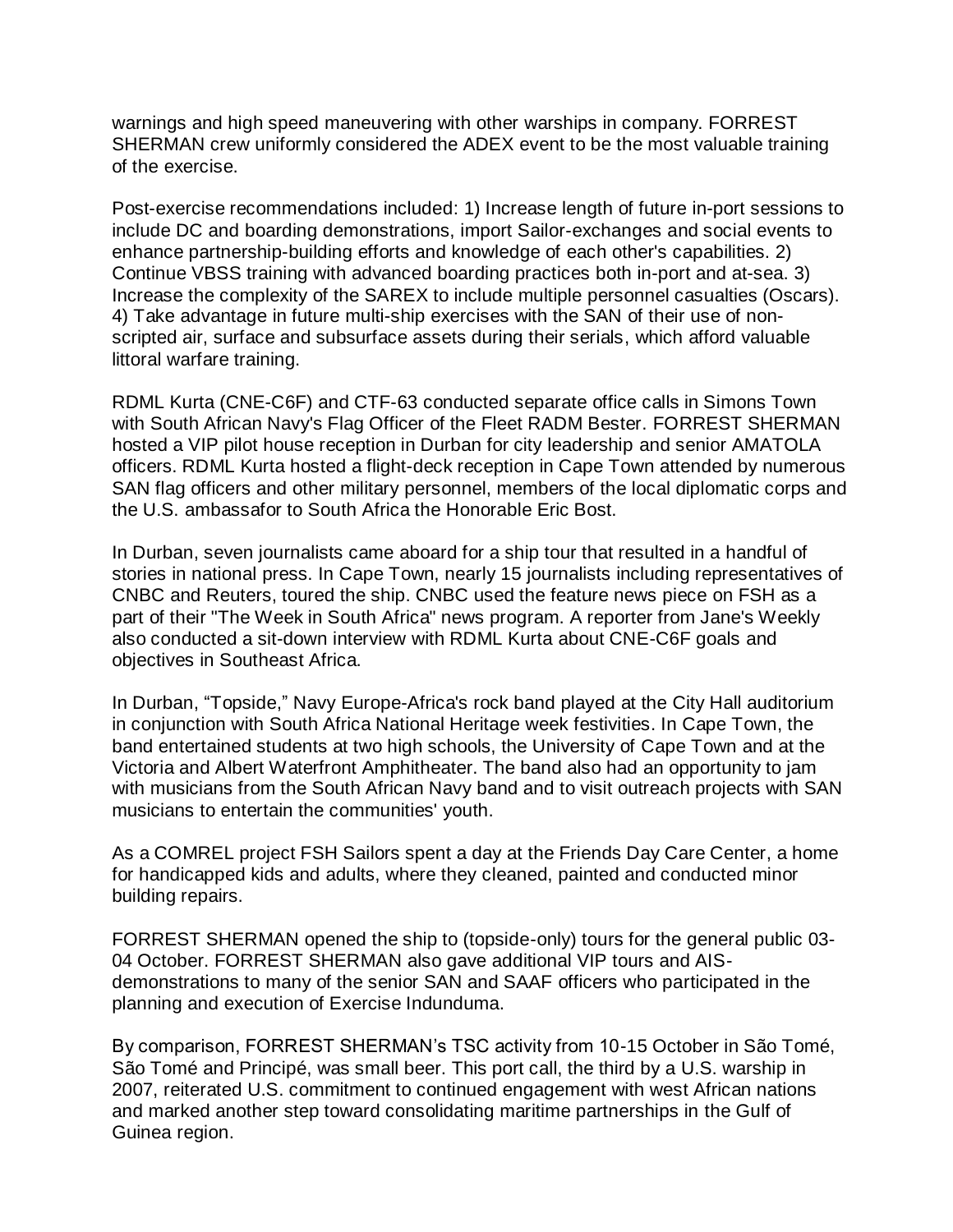warnings and high speed maneuvering with other warships in company. FORREST SHERMAN crew uniformly considered the ADEX event to be the most valuable training of the exercise.

Post-exercise recommendations included: 1) Increase length of future in-port sessions to include DC and boarding demonstrations, import Sailor-exchanges and social events to enhance partnership-building efforts and knowledge of each other's capabilities. 2) Continue VBSS training with advanced boarding practices both in-port and at-sea. 3) Increase the complexity of the SAREX to include multiple personnel casualties (Oscars). 4) Take advantage in future multi-ship exercises with the SAN of their use of nonscripted air, surface and subsurface assets during their serials, which afford valuable littoral warfare training.

RDML Kurta (CNE-C6F) and CTF-63 conducted separate office calls in Simons Town with South African Navy's Flag Officer of the Fleet RADM Bester. FORREST SHERMAN hosted a VIP pilot house reception in Durban for city leadership and senior AMATOLA officers. RDML Kurta hosted a flight-deck reception in Cape Town attended by numerous SAN flag officers and other military personnel, members of the local diplomatic corps and the U.S. ambassafor to South Africa the Honorable Eric Bost.

In Durban, seven journalists came aboard for a ship tour that resulted in a handful of stories in national press. In Cape Town, nearly 15 journalists including representatives of CNBC and Reuters, toured the ship. CNBC used the feature news piece on FSH as a part of their "The Week in South Africa" news program. A reporter from Jane's Weekly also conducted a sit-down interview with RDML Kurta about CNE-C6F goals and objectives in Southeast Africa.

In Durban, "Topside," Navy Europe-Africa's rock band played at the City Hall auditorium in conjunction with South Africa National Heritage week festivities. In Cape Town, the band entertained students at two high schools, the University of Cape Town and at the Victoria and Albert Waterfront Amphitheater. The band also had an opportunity to jam with musicians from the South African Navy band and to visit outreach projects with SAN musicians to entertain the communities' youth.

As a COMREL project FSH Sailors spent a day at the Friends Day Care Center, a home for handicapped kids and adults, where they cleaned, painted and conducted minor building repairs.

FORREST SHERMAN opened the ship to (topside-only) tours for the general public 03- 04 October. FORREST SHERMAN also gave additional VIP tours and AISdemonstrations to many of the senior SAN and SAAF officers who participated in the planning and execution of Exercise Indunduma.

By comparison, FORREST SHERMAN's TSC activity from 10-15 October in São Tomé, São Tomé and Principé, was small beer. This port call, the third by a U.S. warship in 2007, reiterated U.S. commitment to continued engagement with west African nations and marked another step toward consolidating maritime partnerships in the Gulf of Guinea region.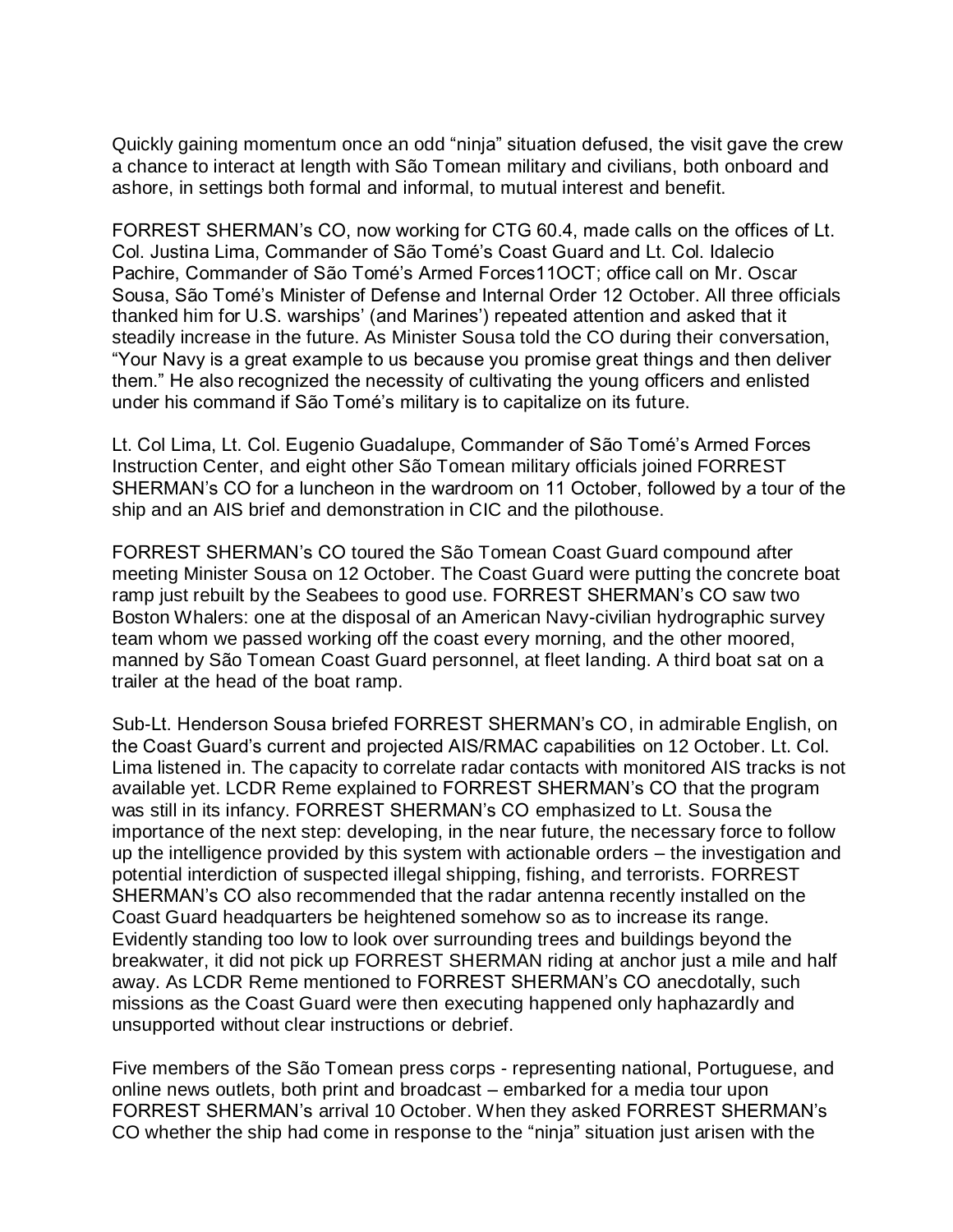Quickly gaining momentum once an odd "ninja" situation defused, the visit gave the crew a chance to interact at length with São Tomean military and civilians, both onboard and ashore, in settings both formal and informal, to mutual interest and benefit.

FORREST SHERMAN's CO, now working for CTG 60.4, made calls on the offices of Lt. Col. Justina Lima, Commander of São Tomé's Coast Guard and Lt. Col. Idalecio Pachire, Commander of São Tomé's Armed Forces11OCT; office call on Mr. Oscar Sousa, São Tomé's Minister of Defense and Internal Order 12 October. All three officials thanked him for U.S. warships' (and Marines') repeated attention and asked that it steadily increase in the future. As Minister Sousa told the CO during their conversation, "Your Navy is a great example to us because you promise great things and then deliver them." He also recognized the necessity of cultivating the young officers and enlisted under his command if São Tomé's military is to capitalize on its future.

Lt. Col Lima, Lt. Col. Eugenio Guadalupe, Commander of São Tomé's Armed Forces Instruction Center, and eight other São Tomean military officials joined FORREST SHERMAN's CO for a luncheon in the wardroom on 11 October, followed by a tour of the ship and an AIS brief and demonstration in CIC and the pilothouse.

FORREST SHERMAN's CO toured the São Tomean Coast Guard compound after meeting Minister Sousa on 12 October. The Coast Guard were putting the concrete boat ramp just rebuilt by the Seabees to good use. FORREST SHERMAN's CO saw two Boston Whalers: one at the disposal of an American Navy-civilian hydrographic survey team whom we passed working off the coast every morning, and the other moored, manned by São Tomean Coast Guard personnel, at fleet landing. A third boat sat on a trailer at the head of the boat ramp.

Sub-Lt. Henderson Sousa briefed FORREST SHERMAN's CO, in admirable English, on the Coast Guard's current and projected AIS/RMAC capabilities on 12 October. Lt. Col. Lima listened in. The capacity to correlate radar contacts with monitored AIS tracks is not available yet. LCDR Reme explained to FORREST SHERMAN's CO that the program was still in its infancy. FORREST SHERMAN's CO emphasized to Lt. Sousa the importance of the next step: developing, in the near future, the necessary force to follow up the intelligence provided by this system with actionable orders – the investigation and potential interdiction of suspected illegal shipping, fishing, and terrorists. FORREST SHERMAN's CO also recommended that the radar antenna recently installed on the Coast Guard headquarters be heightened somehow so as to increase its range. Evidently standing too low to look over surrounding trees and buildings beyond the breakwater, it did not pick up FORREST SHERMAN riding at anchor just a mile and half away. As LCDR Reme mentioned to FORREST SHERMAN's CO anecdotally, such missions as the Coast Guard were then executing happened only haphazardly and unsupported without clear instructions or debrief.

Five members of the São Tomean press corps - representing national, Portuguese, and online news outlets, both print and broadcast – embarked for a media tour upon FORREST SHERMAN's arrival 10 October. When they asked FORREST SHERMAN's CO whether the ship had come in response to the "ninja" situation just arisen with the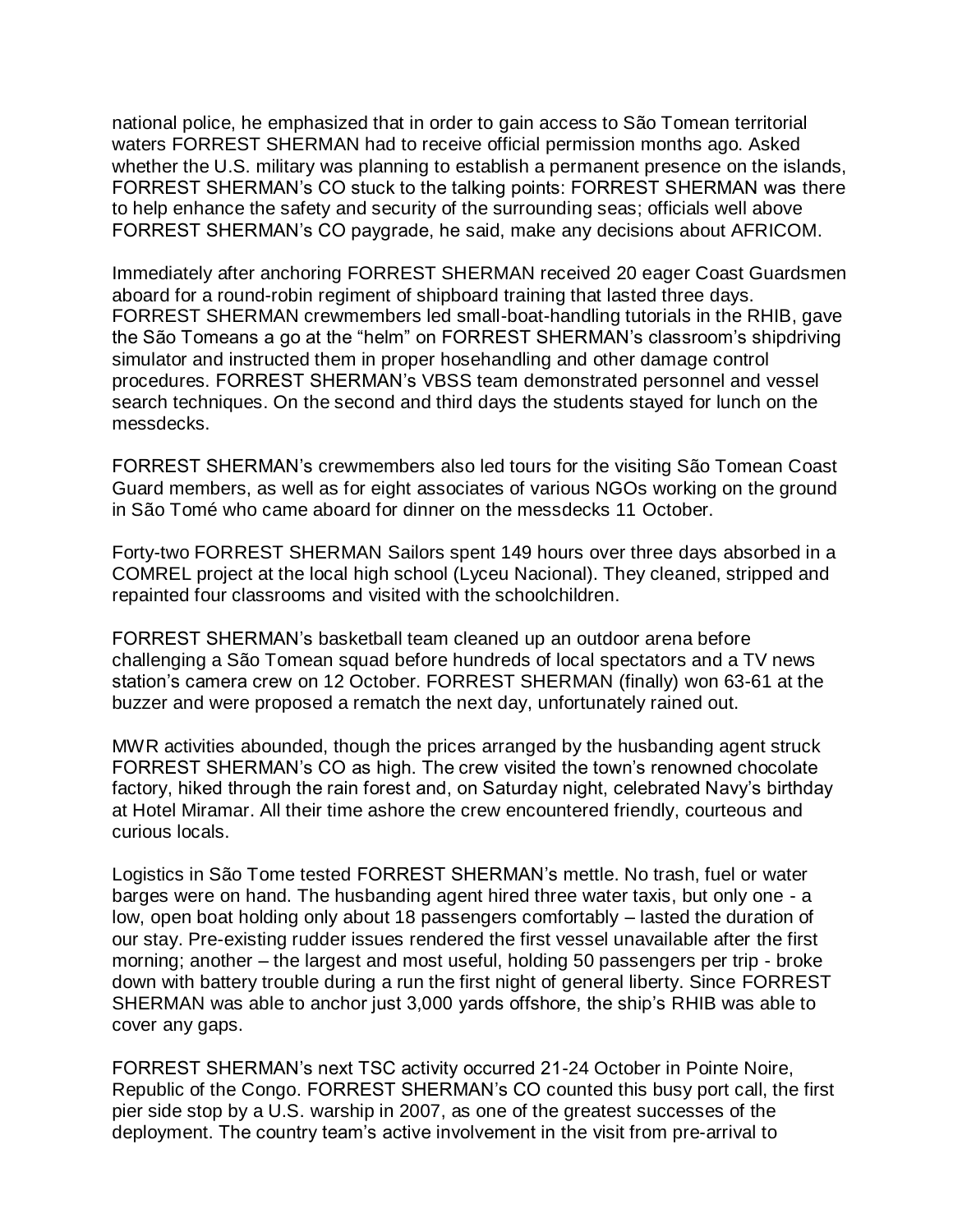national police, he emphasized that in order to gain access to São Tomean territorial waters FORREST SHERMAN had to receive official permission months ago. Asked whether the U.S. military was planning to establish a permanent presence on the islands, FORREST SHERMAN's CO stuck to the talking points: FORREST SHERMAN was there to help enhance the safety and security of the surrounding seas; officials well above FORREST SHERMAN's CO paygrade, he said, make any decisions about AFRICOM.

Immediately after anchoring FORREST SHERMAN received 20 eager Coast Guardsmen aboard for a round-robin regiment of shipboard training that lasted three days. FORREST SHERMAN crewmembers led small-boat-handling tutorials in the RHIB, gave the São Tomeans a go at the "helm" on FORREST SHERMAN's classroom's shipdriving simulator and instructed them in proper hosehandling and other damage control procedures. FORREST SHERMAN's VBSS team demonstrated personnel and vessel search techniques. On the second and third days the students stayed for lunch on the messdecks.

FORREST SHERMAN's crewmembers also led tours for the visiting São Tomean Coast Guard members, as well as for eight associates of various NGOs working on the ground in São Tomé who came aboard for dinner on the messdecks 11 October.

Forty-two FORREST SHERMAN Sailors spent 149 hours over three days absorbed in a COMREL project at the local high school (Lyceu Nacional). They cleaned, stripped and repainted four classrooms and visited with the schoolchildren.

FORREST SHERMAN's basketball team cleaned up an outdoor arena before challenging a São Tomean squad before hundreds of local spectators and a TV news station's camera crew on 12 October. FORREST SHERMAN (finally) won 63-61 at the buzzer and were proposed a rematch the next day, unfortunately rained out.

MWR activities abounded, though the prices arranged by the husbanding agent struck FORREST SHERMAN's CO as high. The crew visited the town's renowned chocolate factory, hiked through the rain forest and, on Saturday night, celebrated Navy's birthday at Hotel Miramar. All their time ashore the crew encountered friendly, courteous and curious locals.

Logistics in São Tome tested FORREST SHERMAN's mettle. No trash, fuel or water barges were on hand. The husbanding agent hired three water taxis, but only one - a low, open boat holding only about 18 passengers comfortably – lasted the duration of our stay. Pre-existing rudder issues rendered the first vessel unavailable after the first morning; another – the largest and most useful, holding 50 passengers per trip - broke down with battery trouble during a run the first night of general liberty. Since FORREST SHERMAN was able to anchor just 3,000 yards offshore, the ship's RHIB was able to cover any gaps.

FORREST SHERMAN's next TSC activity occurred 21-24 October in Pointe Noire, Republic of the Congo. FORREST SHERMAN's CO counted this busy port call, the first pier side stop by a U.S. warship in 2007, as one of the greatest successes of the deployment. The country team's active involvement in the visit from pre-arrival to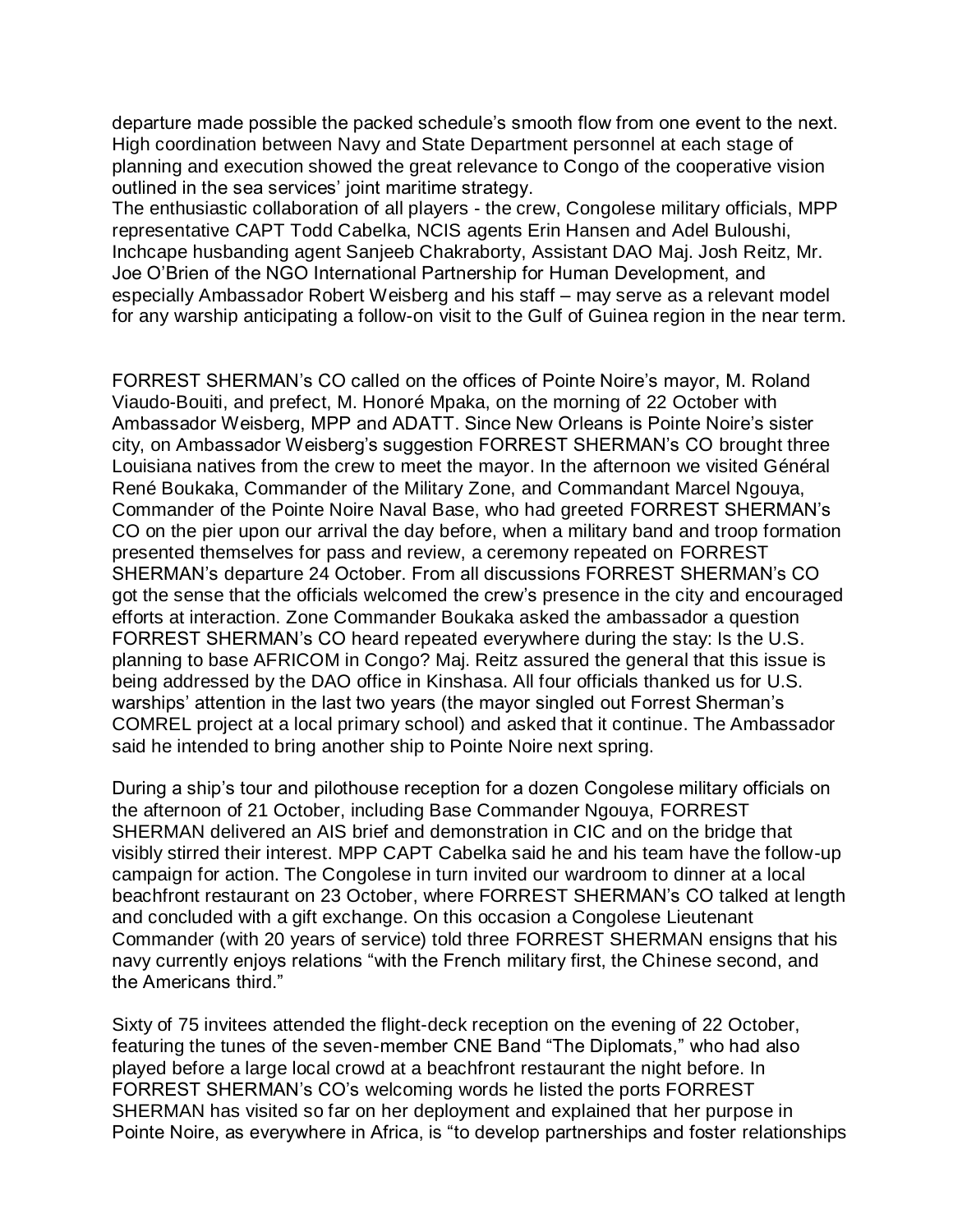departure made possible the packed schedule's smooth flow from one event to the next. High coordination between Navy and State Department personnel at each stage of planning and execution showed the great relevance to Congo of the cooperative vision outlined in the sea services' joint maritime strategy.

The enthusiastic collaboration of all players - the crew, Congolese military officials, MPP representative CAPT Todd Cabelka, NCIS agents Erin Hansen and Adel Buloushi, Inchcape husbanding agent Sanjeeb Chakraborty, Assistant DAO Maj. Josh Reitz, Mr. Joe O'Brien of the NGO International Partnership for Human Development, and especially Ambassador Robert Weisberg and his staff – may serve as a relevant model for any warship anticipating a follow-on visit to the Gulf of Guinea region in the near term.

FORREST SHERMAN's CO called on the offices of Pointe Noire's mayor, M. Roland Viaudo-Bouiti, and prefect, M. Honoré Mpaka, on the morning of 22 October with Ambassador Weisberg, MPP and ADATT. Since New Orleans is Pointe Noire's sister city, on Ambassador Weisberg's suggestion FORREST SHERMAN's CO brought three Louisiana natives from the crew to meet the mayor. In the afternoon we visited Général René Boukaka, Commander of the Military Zone, and Commandant Marcel Ngouya, Commander of the Pointe Noire Naval Base, who had greeted FORREST SHERMAN's CO on the pier upon our arrival the day before, when a military band and troop formation presented themselves for pass and review, a ceremony repeated on FORREST SHERMAN's departure 24 October. From all discussions FORREST SHERMAN's CO got the sense that the officials welcomed the crew's presence in the city and encouraged efforts at interaction. Zone Commander Boukaka asked the ambassador a question FORREST SHERMAN's CO heard repeated everywhere during the stay: Is the U.S. planning to base AFRICOM in Congo? Maj. Reitz assured the general that this issue is being addressed by the DAO office in Kinshasa. All four officials thanked us for U.S. warships' attention in the last two years (the mayor singled out Forrest Sherman's COMREL project at a local primary school) and asked that it continue. The Ambassador said he intended to bring another ship to Pointe Noire next spring.

During a ship's tour and pilothouse reception for a dozen Congolese military officials on the afternoon of 21 October, including Base Commander Ngouya, FORREST SHERMAN delivered an AIS brief and demonstration in CIC and on the bridge that visibly stirred their interest. MPP CAPT Cabelka said he and his team have the follow-up campaign for action. The Congolese in turn invited our wardroom to dinner at a local beachfront restaurant on 23 October, where FORREST SHERMAN's CO talked at length and concluded with a gift exchange. On this occasion a Congolese Lieutenant Commander (with 20 years of service) told three FORREST SHERMAN ensigns that his navy currently enjoys relations "with the French military first, the Chinese second, and the Americans third."

Sixty of 75 invitees attended the flight-deck reception on the evening of 22 October, featuring the tunes of the seven-member CNE Band "The Diplomats," who had also played before a large local crowd at a beachfront restaurant the night before. In FORREST SHERMAN's CO's welcoming words he listed the ports FORREST SHERMAN has visited so far on her deployment and explained that her purpose in Pointe Noire, as everywhere in Africa, is "to develop partnerships and foster relationships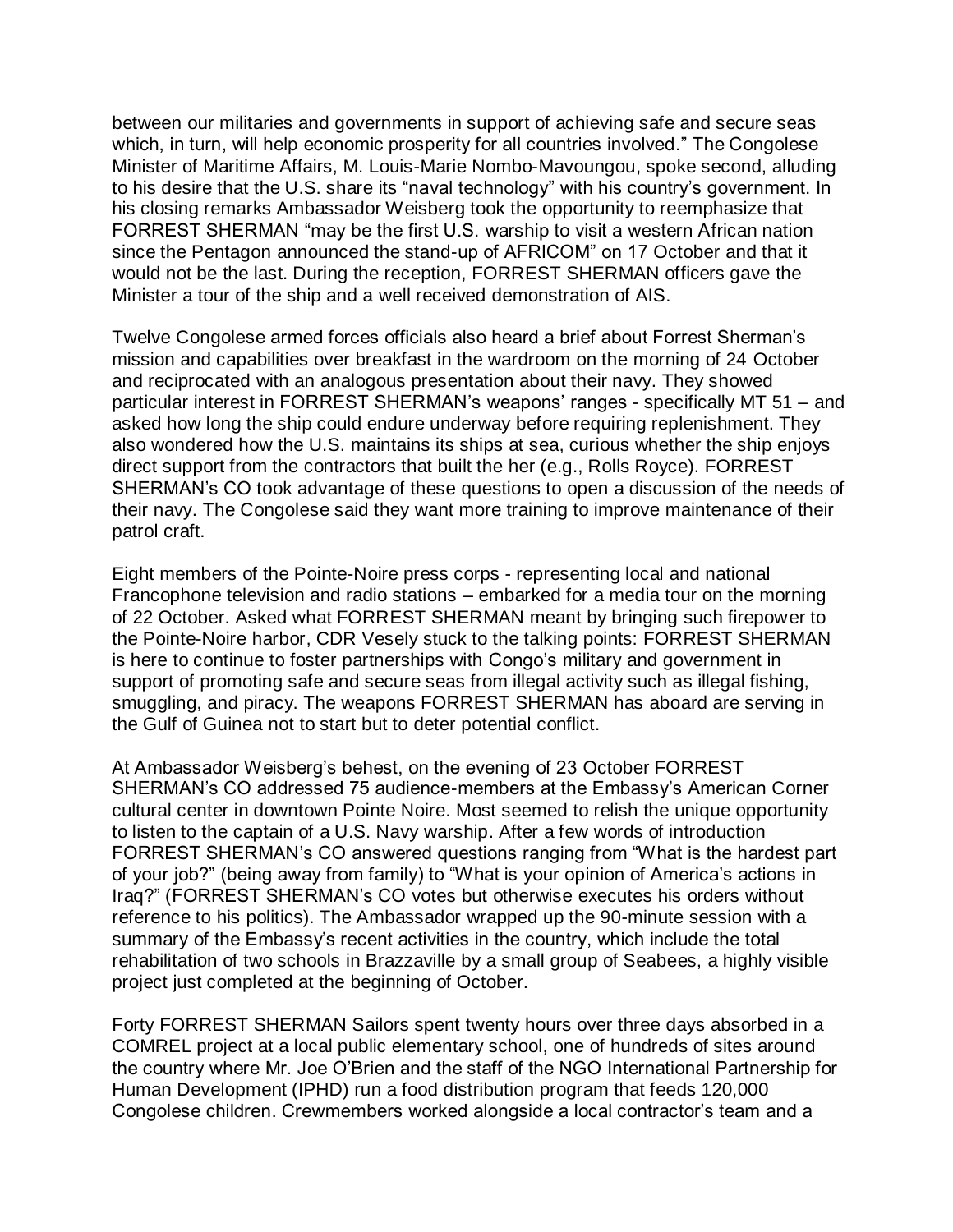between our militaries and governments in support of achieving safe and secure seas which, in turn, will help economic prosperity for all countries involved." The Congolese Minister of Maritime Affairs, M. Louis-Marie Nombo-Mavoungou, spoke second, alluding to his desire that the U.S. share its "naval technology" with his country's government. In his closing remarks Ambassador Weisberg took the opportunity to reemphasize that FORREST SHERMAN "may be the first U.S. warship to visit a western African nation since the Pentagon announced the stand-up of AFRICOM" on 17 October and that it would not be the last. During the reception, FORREST SHERMAN officers gave the Minister a tour of the ship and a well received demonstration of AIS.

Twelve Congolese armed forces officials also heard a brief about Forrest Sherman's mission and capabilities over breakfast in the wardroom on the morning of 24 October and reciprocated with an analogous presentation about their navy. They showed particular interest in FORREST SHERMAN's weapons' ranges - specifically MT 51 – and asked how long the ship could endure underway before requiring replenishment. They also wondered how the U.S. maintains its ships at sea, curious whether the ship enjoys direct support from the contractors that built the her (e.g., Rolls Royce). FORREST SHERMAN's CO took advantage of these questions to open a discussion of the needs of their navy. The Congolese said they want more training to improve maintenance of their patrol craft.

Eight members of the Pointe-Noire press corps - representing local and national Francophone television and radio stations – embarked for a media tour on the morning of 22 October. Asked what FORREST SHERMAN meant by bringing such firepower to the Pointe-Noire harbor, CDR Vesely stuck to the talking points: FORREST SHERMAN is here to continue to foster partnerships with Congo's military and government in support of promoting safe and secure seas from illegal activity such as illegal fishing, smuggling, and piracy. The weapons FORREST SHERMAN has aboard are serving in the Gulf of Guinea not to start but to deter potential conflict.

At Ambassador Weisberg's behest, on the evening of 23 October FORREST SHERMAN's CO addressed 75 audience-members at the Embassy's American Corner cultural center in downtown Pointe Noire. Most seemed to relish the unique opportunity to listen to the captain of a U.S. Navy warship. After a few words of introduction FORREST SHERMAN's CO answered questions ranging from "What is the hardest part of your job?" (being away from family) to "What is your opinion of America's actions in Iraq?" (FORREST SHERMAN's CO votes but otherwise executes his orders without reference to his politics). The Ambassador wrapped up the 90-minute session with a summary of the Embassy's recent activities in the country, which include the total rehabilitation of two schools in Brazzaville by a small group of Seabees, a highly visible project just completed at the beginning of October.

Forty FORREST SHERMAN Sailors spent twenty hours over three days absorbed in a COMREL project at a local public elementary school, one of hundreds of sites around the country where Mr. Joe O'Brien and the staff of the NGO International Partnership for Human Development (IPHD) run a food distribution program that feeds 120,000 Congolese children. Crewmembers worked alongside a local contractor's team and a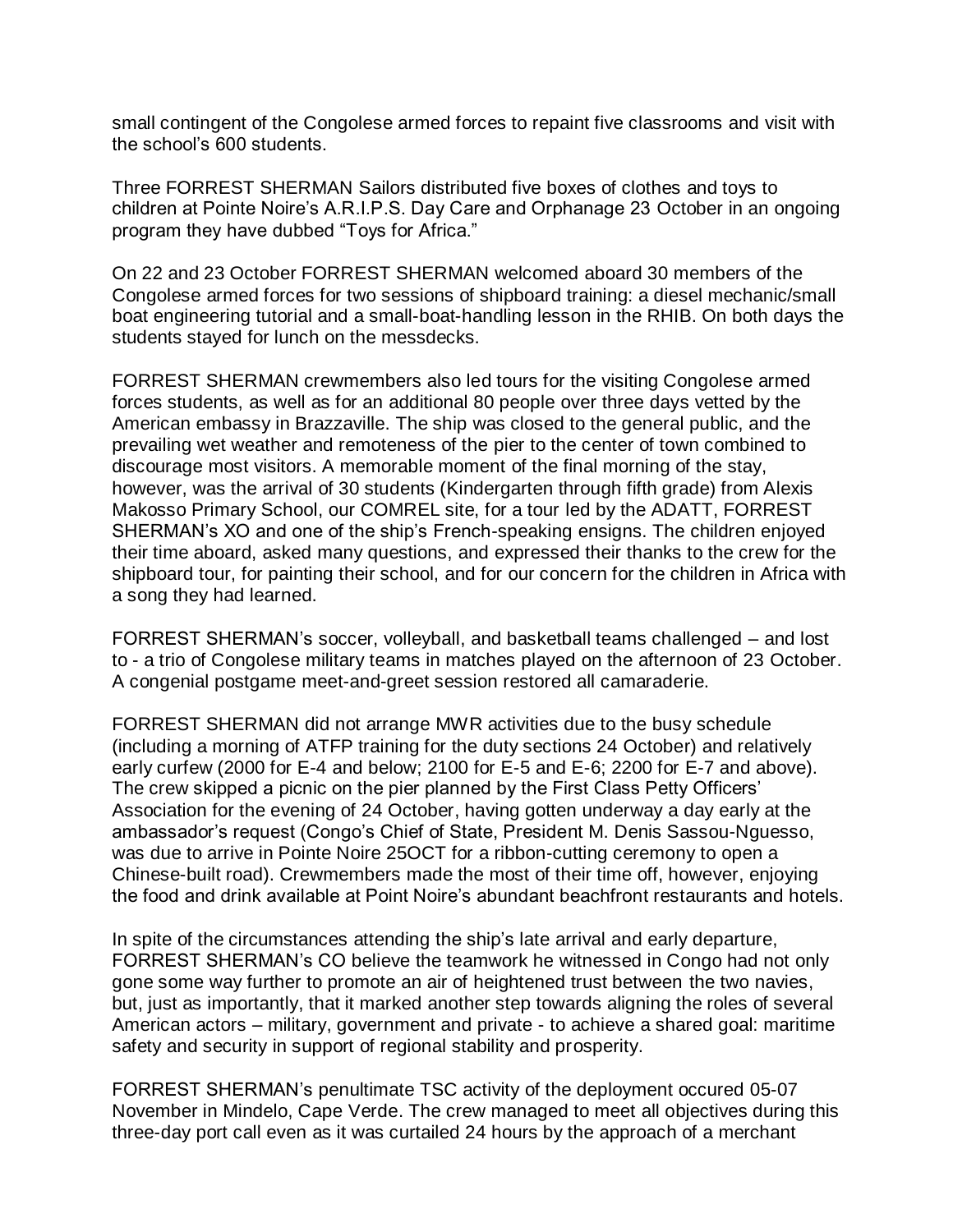small contingent of the Congolese armed forces to repaint five classrooms and visit with the school's 600 students.

Three FORREST SHERMAN Sailors distributed five boxes of clothes and toys to children at Pointe Noire's A.R.I.P.S. Day Care and Orphanage 23 October in an ongoing program they have dubbed "Toys for Africa."

On 22 and 23 October FORREST SHERMAN welcomed aboard 30 members of the Congolese armed forces for two sessions of shipboard training: a diesel mechanic/small boat engineering tutorial and a small-boat-handling lesson in the RHIB. On both days the students stayed for lunch on the messdecks.

FORREST SHERMAN crewmembers also led tours for the visiting Congolese armed forces students, as well as for an additional 80 people over three days vetted by the American embassy in Brazzaville. The ship was closed to the general public, and the prevailing wet weather and remoteness of the pier to the center of town combined to discourage most visitors. A memorable moment of the final morning of the stay, however, was the arrival of 30 students (Kindergarten through fifth grade) from Alexis Makosso Primary School, our COMREL site, for a tour led by the ADATT, FORREST SHERMAN's XO and one of the ship's French-speaking ensigns. The children enjoyed their time aboard, asked many questions, and expressed their thanks to the crew for the shipboard tour, for painting their school, and for our concern for the children in Africa with a song they had learned.

FORREST SHERMAN's soccer, volleyball, and basketball teams challenged – and lost to - a trio of Congolese military teams in matches played on the afternoon of 23 October. A congenial postgame meet-and-greet session restored all camaraderie.

FORREST SHERMAN did not arrange MWR activities due to the busy schedule (including a morning of ATFP training for the duty sections 24 October) and relatively early curfew (2000 for E-4 and below; 2100 for E-5 and E-6; 2200 for E-7 and above). The crew skipped a picnic on the pier planned by the First Class Petty Officers' Association for the evening of 24 October, having gotten underway a day early at the ambassador's request (Congo's Chief of State, President M. Denis Sassou-Nguesso, was due to arrive in Pointe Noire 25OCT for a ribbon-cutting ceremony to open a Chinese-built road). Crewmembers made the most of their time off, however, enjoying the food and drink available at Point Noire's abundant beachfront restaurants and hotels.

In spite of the circumstances attending the ship's late arrival and early departure, FORREST SHERMAN's CO believe the teamwork he witnessed in Congo had not only gone some way further to promote an air of heightened trust between the two navies, but, just as importantly, that it marked another step towards aligning the roles of several American actors – military, government and private - to achieve a shared goal: maritime safety and security in support of regional stability and prosperity.

FORREST SHERMAN's penultimate TSC activity of the deployment occured 05-07 November in Mindelo, Cape Verde. The crew managed to meet all objectives during this three-day port call even as it was curtailed 24 hours by the approach of a merchant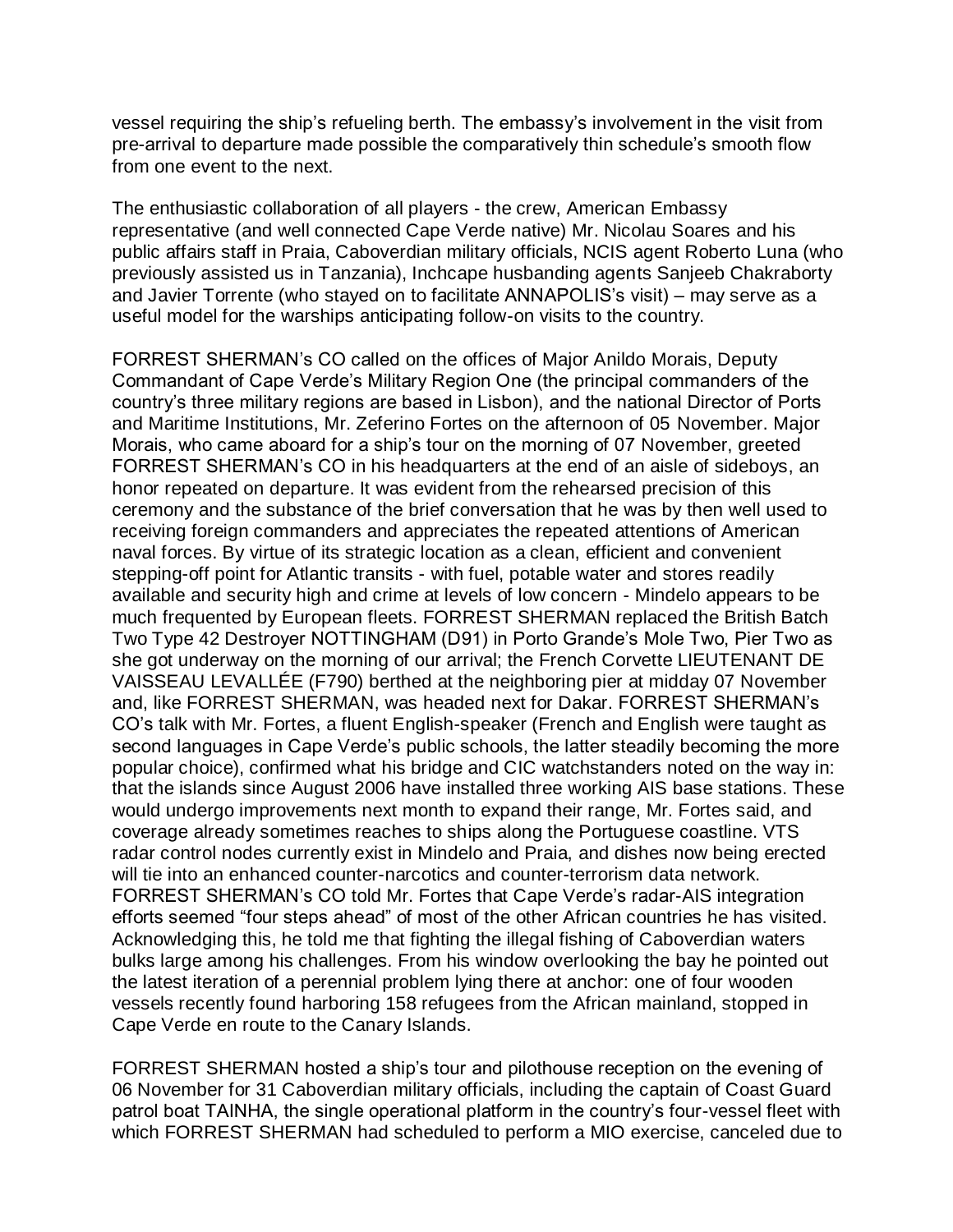vessel requiring the ship's refueling berth. The embassy's involvement in the visit from pre-arrival to departure made possible the comparatively thin schedule's smooth flow from one event to the next.

The enthusiastic collaboration of all players - the crew, American Embassy representative (and well connected Cape Verde native) Mr. Nicolau Soares and his public affairs staff in Praia, Caboverdian military officials, NCIS agent Roberto Luna (who previously assisted us in Tanzania), Inchcape husbanding agents Sanjeeb Chakraborty and Javier Torrente (who stayed on to facilitate ANNAPOLIS's visit) – may serve as a useful model for the warships anticipating follow-on visits to the country.

FORREST SHERMAN's CO called on the offices of Major Anildo Morais, Deputy Commandant of Cape Verde's Military Region One (the principal commanders of the country's three military regions are based in Lisbon), and the national Director of Ports and Maritime Institutions, Mr. Zeferino Fortes on the afternoon of 05 November. Major Morais, who came aboard for a ship's tour on the morning of 07 November, greeted FORREST SHERMAN's CO in his headquarters at the end of an aisle of sideboys, an honor repeated on departure. It was evident from the rehearsed precision of this ceremony and the substance of the brief conversation that he was by then well used to receiving foreign commanders and appreciates the repeated attentions of American naval forces. By virtue of its strategic location as a clean, efficient and convenient stepping-off point for Atlantic transits - with fuel, potable water and stores readily available and security high and crime at levels of low concern - Mindelo appears to be much frequented by European fleets. FORREST SHERMAN replaced the British Batch Two Type 42 Destroyer NOTTINGHAM (D91) in Porto Grande's Mole Two, Pier Two as she got underway on the morning of our arrival; the French Corvette LIEUTENANT DE VAISSEAU LEVALLÉE (F790) berthed at the neighboring pier at midday 07 November and, like FORREST SHERMAN, was headed next for Dakar. FORREST SHERMAN's CO's talk with Mr. Fortes, a fluent English-speaker (French and English were taught as second languages in Cape Verde's public schools, the latter steadily becoming the more popular choice), confirmed what his bridge and CIC watchstanders noted on the way in: that the islands since August 2006 have installed three working AIS base stations. These would undergo improvements next month to expand their range, Mr. Fortes said, and coverage already sometimes reaches to ships along the Portuguese coastline. VTS radar control nodes currently exist in Mindelo and Praia, and dishes now being erected will tie into an enhanced counter-narcotics and counter-terrorism data network. FORREST SHERMAN's CO told Mr. Fortes that Cape Verde's radar-AIS integration efforts seemed "four steps ahead" of most of the other African countries he has visited. Acknowledging this, he told me that fighting the illegal fishing of Caboverdian waters bulks large among his challenges. From his window overlooking the bay he pointed out the latest iteration of a perennial problem lying there at anchor: one of four wooden vessels recently found harboring 158 refugees from the African mainland, stopped in Cape Verde en route to the Canary Islands.

FORREST SHERMAN hosted a ship's tour and pilothouse reception on the evening of 06 November for 31 Caboverdian military officials, including the captain of Coast Guard patrol boat TAINHA, the single operational platform in the country's four-vessel fleet with which FORREST SHERMAN had scheduled to perform a MIO exercise, canceled due to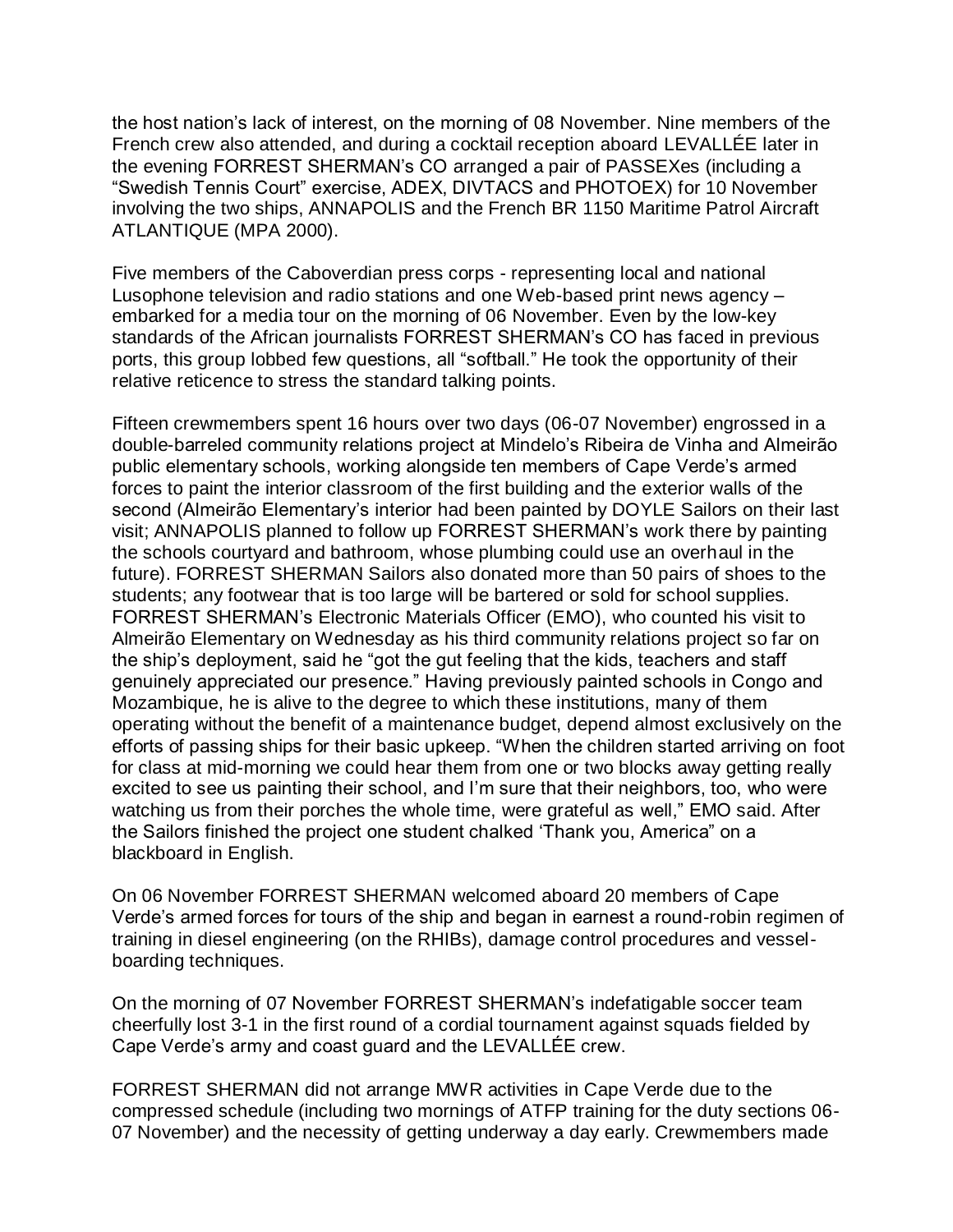the host nation's lack of interest, on the morning of 08 November. Nine members of the French crew also attended, and during a cocktail reception aboard LEVALLÉE later in the evening FORREST SHERMAN's CO arranged a pair of PASSEXes (including a "Swedish Tennis Court" exercise, ADEX, DIVTACS and PHOTOEX) for 10 November involving the two ships, ANNAPOLIS and the French BR 1150 Maritime Patrol Aircraft ATLANTIQUE (MPA 2000).

Five members of the Caboverdian press corps - representing local and national Lusophone television and radio stations and one Web-based print news agency – embarked for a media tour on the morning of 06 November. Even by the low-key standards of the African journalists FORREST SHERMAN's CO has faced in previous ports, this group lobbed few questions, all "softball." He took the opportunity of their relative reticence to stress the standard talking points.

Fifteen crewmembers spent 16 hours over two days (06-07 November) engrossed in a double-barreled community relations project at Mindelo's Ribeira de Vinha and Almeirão public elementary schools, working alongside ten members of Cape Verde's armed forces to paint the interior classroom of the first building and the exterior walls of the second (Almeirão Elementary's interior had been painted by DOYLE Sailors on their last visit; ANNAPOLIS planned to follow up FORREST SHERMAN's work there by painting the schools courtyard and bathroom, whose plumbing could use an overhaul in the future). FORREST SHERMAN Sailors also donated more than 50 pairs of shoes to the students; any footwear that is too large will be bartered or sold for school supplies. FORREST SHERMAN's Electronic Materials Officer (EMO), who counted his visit to Almeirão Elementary on Wednesday as his third community relations project so far on the ship's deployment, said he "got the gut feeling that the kids, teachers and staff genuinely appreciated our presence." Having previously painted schools in Congo and Mozambique, he is alive to the degree to which these institutions, many of them operating without the benefit of a maintenance budget, depend almost exclusively on the efforts of passing ships for their basic upkeep. "When the children started arriving on foot for class at mid-morning we could hear them from one or two blocks away getting really excited to see us painting their school, and I'm sure that their neighbors, too, who were watching us from their porches the whole time, were grateful as well," EMO said. After the Sailors finished the project one student chalked 'Thank you, America" on a blackboard in English.

On 06 November FORREST SHERMAN welcomed aboard 20 members of Cape Verde's armed forces for tours of the ship and began in earnest a round-robin regimen of training in diesel engineering (on the RHIBs), damage control procedures and vesselboarding techniques.

On the morning of 07 November FORREST SHERMAN's indefatigable soccer team cheerfully lost 3-1 in the first round of a cordial tournament against squads fielded by Cape Verde's army and coast guard and the LEVALLÉE crew.

FORREST SHERMAN did not arrange MWR activities in Cape Verde due to the compressed schedule (including two mornings of ATFP training for the duty sections 06- 07 November) and the necessity of getting underway a day early. Crewmembers made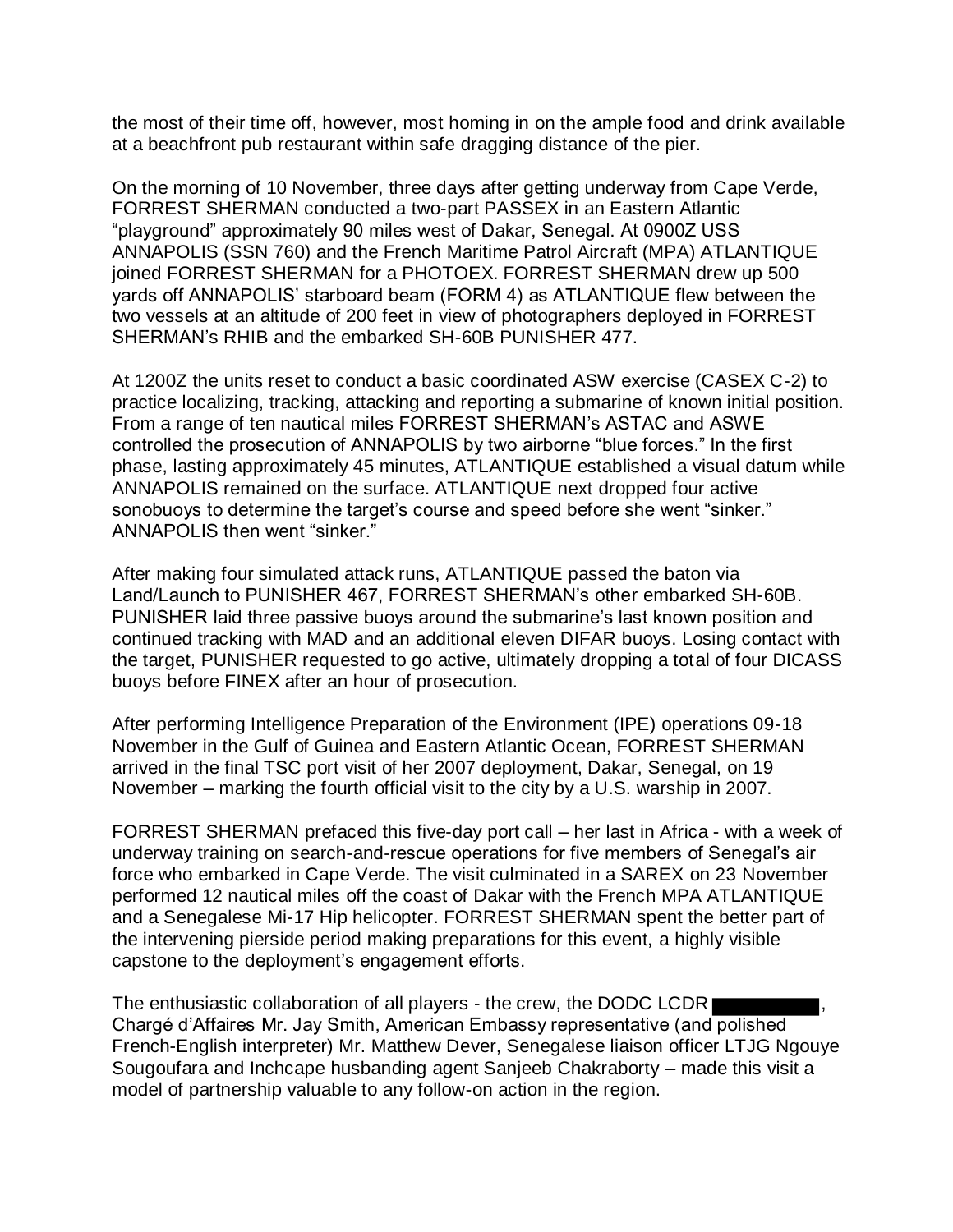the most of their time off, however, most homing in on the ample food and drink available at a beachfront pub restaurant within safe dragging distance of the pier.

On the morning of 10 November, three days after getting underway from Cape Verde, FORREST SHERMAN conducted a two-part PASSEX in an Eastern Atlantic "playground" approximately 90 miles west of Dakar, Senegal. At 0900Z USS ANNAPOLIS (SSN 760) and the French Maritime Patrol Aircraft (MPA) ATLANTIQUE joined FORREST SHERMAN for a PHOTOEX. FORREST SHERMAN drew up 500 yards off ANNAPOLIS' starboard beam (FORM 4) as ATLANTIQUE flew between the two vessels at an altitude of 200 feet in view of photographers deployed in FORREST SHERMAN's RHIB and the embarked SH-60B PUNISHER 477.

At 1200Z the units reset to conduct a basic coordinated ASW exercise (CASEX C-2) to practice localizing, tracking, attacking and reporting a submarine of known initial position. From a range of ten nautical miles FORREST SHERMAN's ASTAC and ASWE controlled the prosecution of ANNAPOLIS by two airborne "blue forces." In the first phase, lasting approximately 45 minutes, ATLANTIQUE established a visual datum while ANNAPOLIS remained on the surface. ATLANTIQUE next dropped four active sonobuoys to determine the target's course and speed before she went "sinker." ANNAPOLIS then went "sinker."

After making four simulated attack runs, ATLANTIQUE passed the baton via Land/Launch to PUNISHER 467, FORREST SHERMAN's other embarked SH-60B. PUNISHER laid three passive buoys around the submarine's last known position and continued tracking with MAD and an additional eleven DIFAR buoys. Losing contact with the target, PUNISHER requested to go active, ultimately dropping a total of four DICASS buoys before FINEX after an hour of prosecution.

After performing Intelligence Preparation of the Environment (IPE) operations 09-18 November in the Gulf of Guinea and Eastern Atlantic Ocean, FORREST SHERMAN arrived in the final TSC port visit of her 2007 deployment, Dakar, Senegal, on 19 November – marking the fourth official visit to the city by a U.S. warship in 2007.

FORREST SHERMAN prefaced this five-day port call – her last in Africa - with a week of underway training on search-and-rescue operations for five members of Senegal's air force who embarked in Cape Verde. The visit culminated in a SAREX on 23 November performed 12 nautical miles off the coast of Dakar with the French MPA ATLANTIQUE and a Senegalese Mi-17 Hip helicopter. FORREST SHERMAN spent the better part of the intervening pierside period making preparations for this event, a highly visible capstone to the deployment's engagement efforts.

The enthusiastic collaboration of all players - the crew, the DODC LCDR Chargé d'Affaires Mr. Jay Smith, American Embassy representative (and polished French-English interpreter) Mr. Matthew Dever, Senegalese liaison officer LTJG Ngouye Sougoufara and Inchcape husbanding agent Sanjeeb Chakraborty – made this visit a model of partnership valuable to any follow-on action in the region.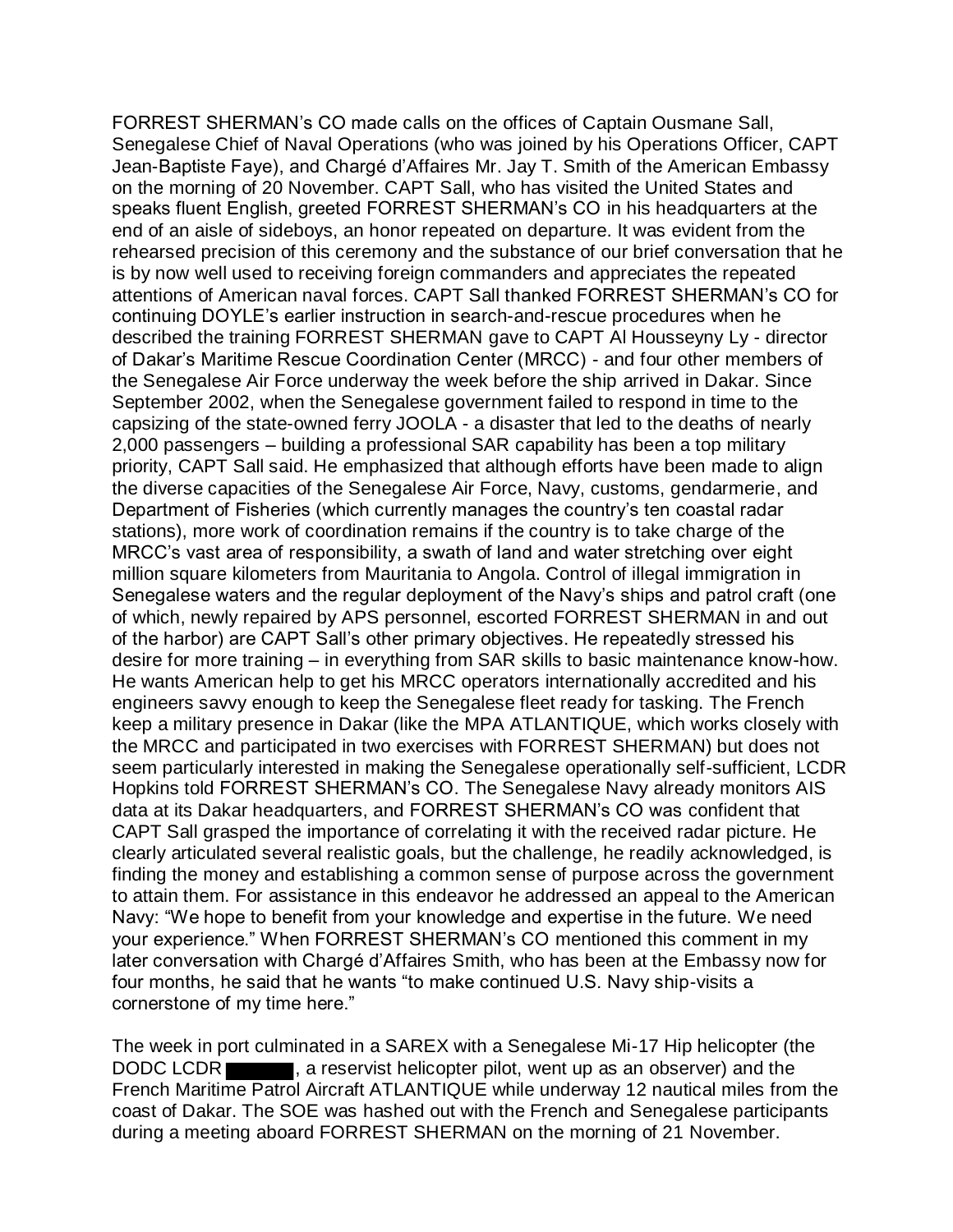FORREST SHERMAN's CO made calls on the offices of Captain Ousmane Sall, Senegalese Chief of Naval Operations (who was joined by his Operations Officer, CAPT Jean-Baptiste Faye), and Chargé d'Affaires Mr. Jay T. Smith of the American Embassy on the morning of 20 November. CAPT Sall, who has visited the United States and speaks fluent English, greeted FORREST SHERMAN's CO in his headquarters at the end of an aisle of sideboys, an honor repeated on departure. It was evident from the rehearsed precision of this ceremony and the substance of our brief conversation that he is by now well used to receiving foreign commanders and appreciates the repeated attentions of American naval forces. CAPT Sall thanked FORREST SHERMAN's CO for continuing DOYLE's earlier instruction in search-and-rescue procedures when he described the training FORREST SHERMAN gave to CAPT Al Housseyny Ly - director of Dakar's Maritime Rescue Coordination Center (MRCC) - and four other members of the Senegalese Air Force underway the week before the ship arrived in Dakar. Since September 2002, when the Senegalese government failed to respond in time to the capsizing of the state-owned ferry JOOLA - a disaster that led to the deaths of nearly 2,000 passengers – building a professional SAR capability has been a top military priority, CAPT Sall said. He emphasized that although efforts have been made to align the diverse capacities of the Senegalese Air Force, Navy, customs, gendarmerie, and Department of Fisheries (which currently manages the country's ten coastal radar stations), more work of coordination remains if the country is to take charge of the MRCC's vast area of responsibility, a swath of land and water stretching over eight million square kilometers from Mauritania to Angola. Control of illegal immigration in Senegalese waters and the regular deployment of the Navy's ships and patrol craft (one of which, newly repaired by APS personnel, escorted FORREST SHERMAN in and out of the harbor) are CAPT Sall's other primary objectives. He repeatedly stressed his desire for more training – in everything from SAR skills to basic maintenance know-how. He wants American help to get his MRCC operators internationally accredited and his engineers savvy enough to keep the Senegalese fleet ready for tasking. The French keep a military presence in Dakar (like the MPA ATLANTIQUE, which works closely with the MRCC and participated in two exercises with FORREST SHERMAN) but does not seem particularly interested in making the Senegalese operationally self-sufficient, LCDR Hopkins told FORREST SHERMAN's CO. The Senegalese Navy already monitors AIS data at its Dakar headquarters, and FORREST SHERMAN's CO was confident that CAPT Sall grasped the importance of correlating it with the received radar picture. He clearly articulated several realistic goals, but the challenge, he readily acknowledged, is finding the money and establishing a common sense of purpose across the government to attain them. For assistance in this endeavor he addressed an appeal to the American Navy: "We hope to benefit from your knowledge and expertise in the future. We need your experience." When FORREST SHERMAN's CO mentioned this comment in my later conversation with Chargé d'Affaires Smith, who has been at the Embassy now for four months, he said that he wants "to make continued U.S. Navy ship-visits a cornerstone of my time here."

The week in port culminated in a SAREX with a Senegalese Mi-17 Hip helicopter (the DODC LCDR  $\blacksquare$ , a reservist helicopter pilot, went up as an observer) and the French Maritime Patrol Aircraft ATLANTIQUE while underway 12 nautical miles from the coast of Dakar. The SOE was hashed out with the French and Senegalese participants during a meeting aboard FORREST SHERMAN on the morning of 21 November.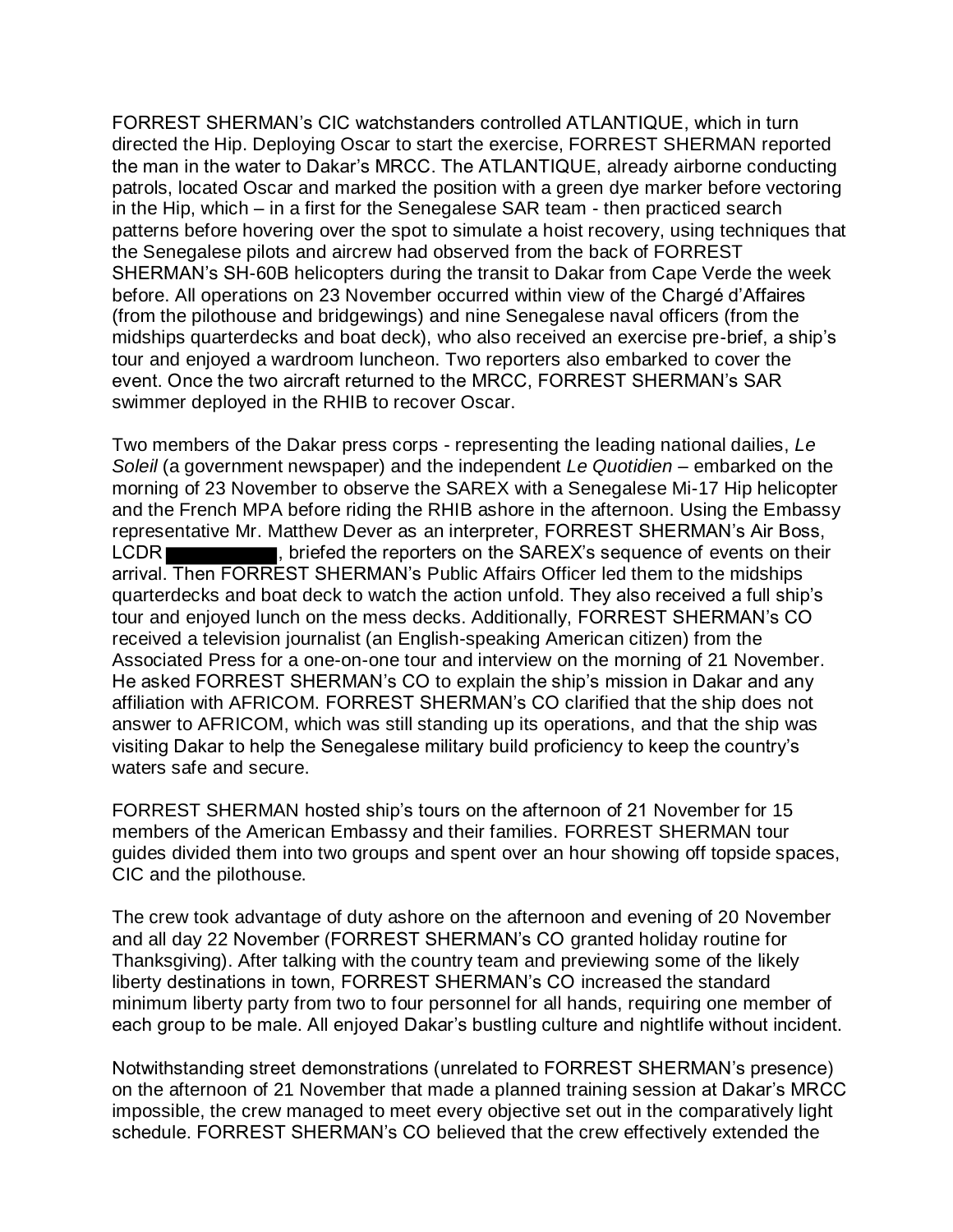FORREST SHERMAN's CIC watchstanders controlled ATLANTIQUE, which in turn directed the Hip. Deploying Oscar to start the exercise, FORREST SHERMAN reported the man in the water to Dakar's MRCC. The ATLANTIQUE, already airborne conducting patrols, located Oscar and marked the position with a green dye marker before vectoring in the Hip, which – in a first for the Senegalese SAR team - then practiced search patterns before hovering over the spot to simulate a hoist recovery, using techniques that the Senegalese pilots and aircrew had observed from the back of FORREST SHERMAN's SH-60B helicopters during the transit to Dakar from Cape Verde the week before. All operations on 23 November occurred within view of the Chargé d'Affaires (from the pilothouse and bridgewings) and nine Senegalese naval officers (from the midships quarterdecks and boat deck), who also received an exercise pre-brief, a ship's tour and enjoyed a wardroom luncheon. Two reporters also embarked to cover the event. Once the two aircraft returned to the MRCC, FORREST SHERMAN's SAR swimmer deployed in the RHIB to recover Oscar.

Two members of the Dakar press corps - representing the leading national dailies, *Le Soleil* (a government newspaper) and the independent *Le Quotidien* – embarked on the morning of 23 November to observe the SAREX with a Senegalese Mi-17 Hip helicopter and the French MPA before riding the RHIB ashore in the afternoon. Using the Embassy representative Mr. Matthew Dever as an interpreter, FORREST SHERMAN's Air Boss, LCDR **Example 20 Terms**, briefed the reporters on the SAREX's sequence of events on their arrival. Then FORREST SHERMAN's Public Affairs Officer led them to the midships quarterdecks and boat deck to watch the action unfold. They also received a full ship's tour and enjoyed lunch on the mess decks. Additionally, FORREST SHERMAN's CO received a television journalist (an English-speaking American citizen) from the Associated Press for a one-on-one tour and interview on the morning of 21 November. He asked FORREST SHERMAN's CO to explain the ship's mission in Dakar and any affiliation with AFRICOM. FORREST SHERMAN's CO clarified that the ship does not answer to AFRICOM, which was still standing up its operations, and that the ship was visiting Dakar to help the Senegalese military build proficiency to keep the country's waters safe and secure.

FORREST SHERMAN hosted ship's tours on the afternoon of 21 November for 15 members of the American Embassy and their families. FORREST SHERMAN tour guides divided them into two groups and spent over an hour showing off topside spaces, CIC and the pilothouse.

The crew took advantage of duty ashore on the afternoon and evening of 20 November and all day 22 November (FORREST SHERMAN's CO granted holiday routine for Thanksgiving). After talking with the country team and previewing some of the likely liberty destinations in town, FORREST SHERMAN's CO increased the standard minimum liberty party from two to four personnel for all hands, requiring one member of each group to be male. All enjoyed Dakar's bustling culture and nightlife without incident.

Notwithstanding street demonstrations (unrelated to FORREST SHERMAN's presence) on the afternoon of 21 November that made a planned training session at Dakar's MRCC impossible, the crew managed to meet every objective set out in the comparatively light schedule. FORREST SHERMAN's CO believed that the crew effectively extended the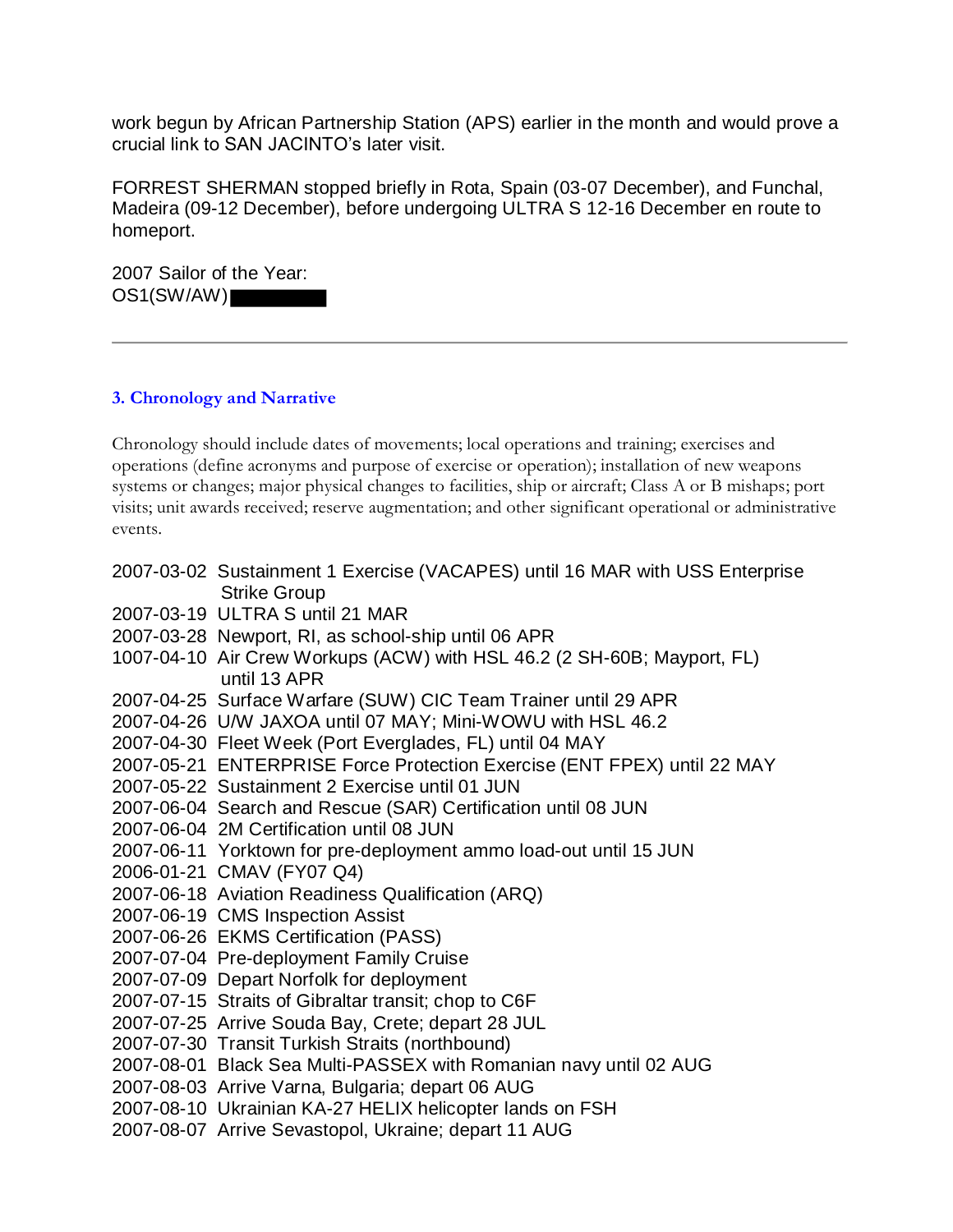work begun by African Partnership Station (APS) earlier in the month and would prove a crucial link to SAN JACINTO's later visit.

FORREST SHERMAN stopped briefly in Rota, Spain (03-07 December), and Funchal, Madeira (09-12 December), before undergoing ULTRA S 12-16 December en route to homeport.

2007 Sailor of the Year: OS1(SW/AW)

#### **3. Chronology and Narrative**

Chronology should include dates of movements; local operations and training; exercises and operations (define acronyms and purpose of exercise or operation); installation of new weapons systems or changes; major physical changes to facilities, ship or aircraft; Class A or B mishaps; port visits; unit awards received; reserve augmentation; and other significant operational or administrative events.

|  | 2007-03-02 Sustainment 1 Exercise (VACAPES) until 16 MAR with USS Enterprise<br><b>Strike Group</b> |
|--|-----------------------------------------------------------------------------------------------------|
|  | 2007-03-19 ULTRA S until 21 MAR                                                                     |
|  | 2007-03-28 Newport, RI, as school-ship until 06 APR                                                 |
|  | 1007-04-10 Air Crew Workups (ACW) with HSL 46.2 (2 SH-60B; Mayport, FL)<br>until 13 APR             |
|  | 2007-04-25 Surface Warfare (SUW) CIC Team Trainer until 29 APR                                      |
|  | 2007-04-26 U/W JAXOA until 07 MAY; Mini-WOWU with HSL 46.2                                          |
|  | 2007-04-30 Fleet Week (Port Everglades, FL) until 04 MAY                                            |
|  | 2007-05-21 ENTERPRISE Force Protection Exercise (ENT FPEX) until 22 MAY                             |
|  | 2007-05-22 Sustainment 2 Exercise until 01 JUN                                                      |
|  | 2007-06-04 Search and Rescue (SAR) Certification until 08 JUN                                       |
|  | 2007-06-04 2M Certification until 08 JUN                                                            |
|  | 2007-06-11 Yorktown for pre-deployment ammo load-out until 15 JUN                                   |
|  | 2006-01-21 CMAV (FY07 Q4)                                                                           |
|  | 2007-06-18 Aviation Readiness Qualification (ARQ)                                                   |
|  | 2007-06-19 CMS Inspection Assist                                                                    |
|  | 2007-06-26 EKMS Certification (PASS)                                                                |
|  | 2007-07-04 Pre-deployment Family Cruise                                                             |
|  | 2007-07-09 Depart Norfolk for deployment                                                            |
|  | 2007-07-15 Straits of Gibraltar transit; chop to C6F                                                |
|  | 2007-07-25 Arrive Souda Bay, Crete; depart 28 JUL                                                   |
|  | 2007-07-30 Transit Turkish Straits (northbound)                                                     |
|  | 2007-08-01 Black Sea Multi-PASSEX with Romanian navy until 02 AUG                                   |
|  | 2007-08-03 Arrive Varna, Bulgaria; depart 06 AUG                                                    |
|  | 2007-08-10 Ukrainian KA-27 HELIX helicopter lands on FSH                                            |
|  | 2007-08-07 Arrive Sevastopol, Ukraine; depart 11 AUG                                                |
|  |                                                                                                     |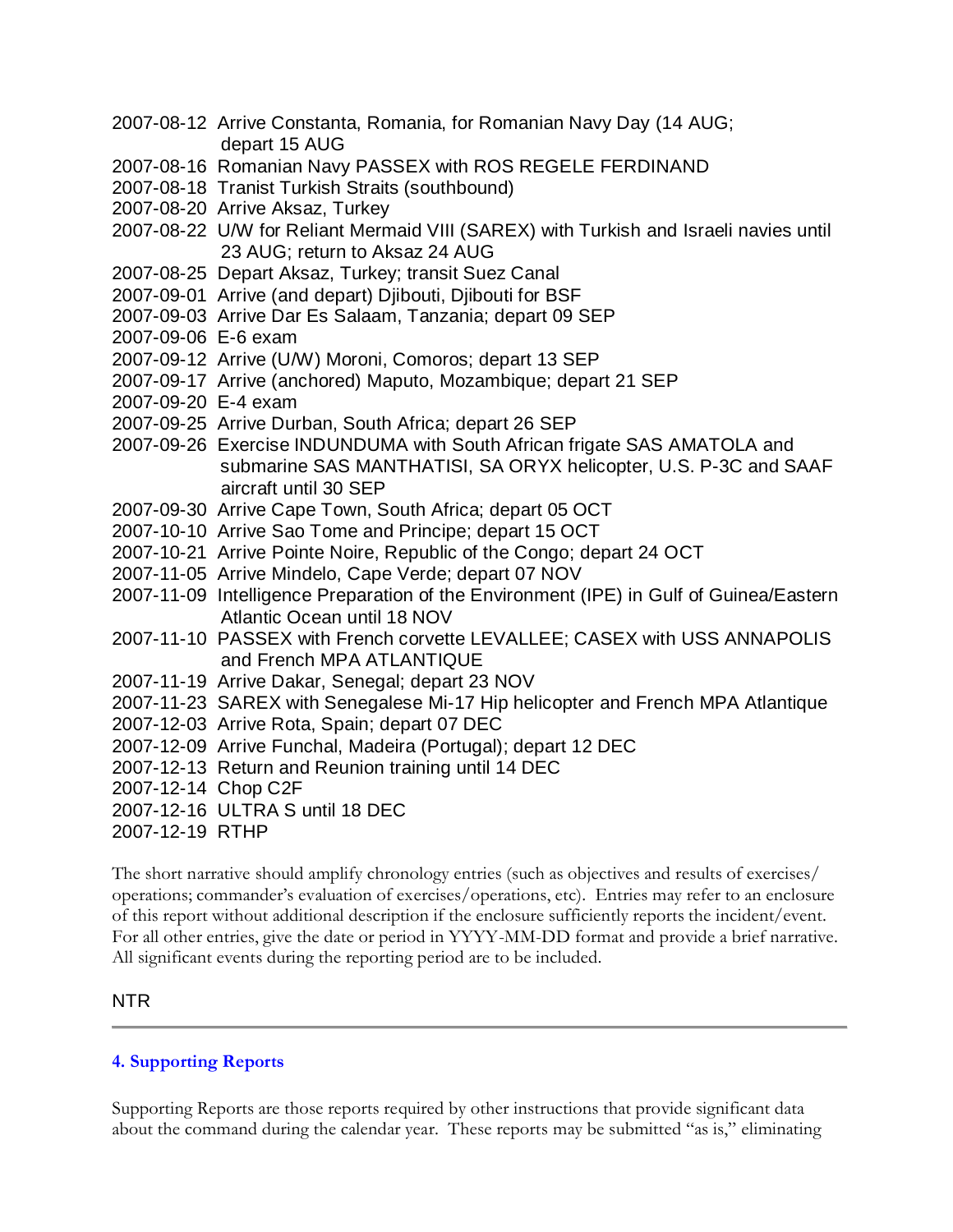- 2007-08-12 Arrive Constanta, Romania, for Romanian Navy Day (14 AUG; depart 15 AUG
- 2007-08-16 Romanian Navy PASSEX with ROS REGELE FERDINAND
- 2007-08-18 Tranist Turkish Straits (southbound)
- 2007-08-20 Arrive Aksaz, Turkey
- 2007-08-22 U/W for Reliant Mermaid VIII (SAREX) with Turkish and Israeli navies until 23 AUG; return to Aksaz 24 AUG
- 2007-08-25 Depart Aksaz, Turkey; transit Suez Canal
- 2007-09-01 Arrive (and depart) Djibouti, Djibouti for BSF
- 2007-09-03 Arrive Dar Es Salaam, Tanzania; depart 09 SEP
- 2007-09-06 E-6 exam
- 2007-09-12 Arrive (U/W) Moroni, Comoros; depart 13 SEP
- 2007-09-17 Arrive (anchored) Maputo, Mozambique; depart 21 SEP
- 2007-09-20 E-4 exam
- 2007-09-25 Arrive Durban, South Africa; depart 26 SEP
- 2007-09-26 Exercise INDUNDUMA with South African frigate SAS AMATOLA and submarine SAS MANTHATISI, SA ORYX helicopter, U.S. P-3C and SAAF aircraft until 30 SEP
- 2007-09-30 Arrive Cape Town, South Africa; depart 05 OCT
- 2007-10-10 Arrive Sao Tome and Principe; depart 15 OCT
- 2007-10-21 Arrive Pointe Noire, Republic of the Congo; depart 24 OCT
- 2007-11-05 Arrive Mindelo, Cape Verde; depart 07 NOV
- 2007-11-09 Intelligence Preparation of the Environment (IPE) in Gulf of Guinea/Eastern Atlantic Ocean until 18 NOV
- 2007-11-10 PASSEX with French corvette LEVALLEE; CASEX with USS ANNAPOLIS and French MPA ATLANTIQUE
- 2007-11-19 Arrive Dakar, Senegal; depart 23 NOV
- 2007-11-23 SAREX with Senegalese Mi-17 Hip helicopter and French MPA Atlantique
- 2007-12-03 Arrive Rota, Spain; depart 07 DEC
- 2007-12-09 Arrive Funchal, Madeira (Portugal); depart 12 DEC
- 2007-12-13 Return and Reunion training until 14 DEC
- 2007-12-14 Chop C2F
- 2007-12-16 ULTRA S until 18 DEC
- 2007-12-19 RTHP

The short narrative should amplify chronology entries (such as objectives and results of exercises/ operations; commander's evaluation of exercises/operations, etc). Entries may refer to an enclosure of this report without additional description if the enclosure sufficiently reports the incident/event. For all other entries, give the date or period in YYYY-MM-DD format and provide a brief narrative. All significant events during the reporting period are to be included.

#### NTR

#### **4. Supporting Reports**

Supporting Reports are those reports required by other instructions that provide significant data about the command during the calendar year. These reports may be submitted "as is," eliminating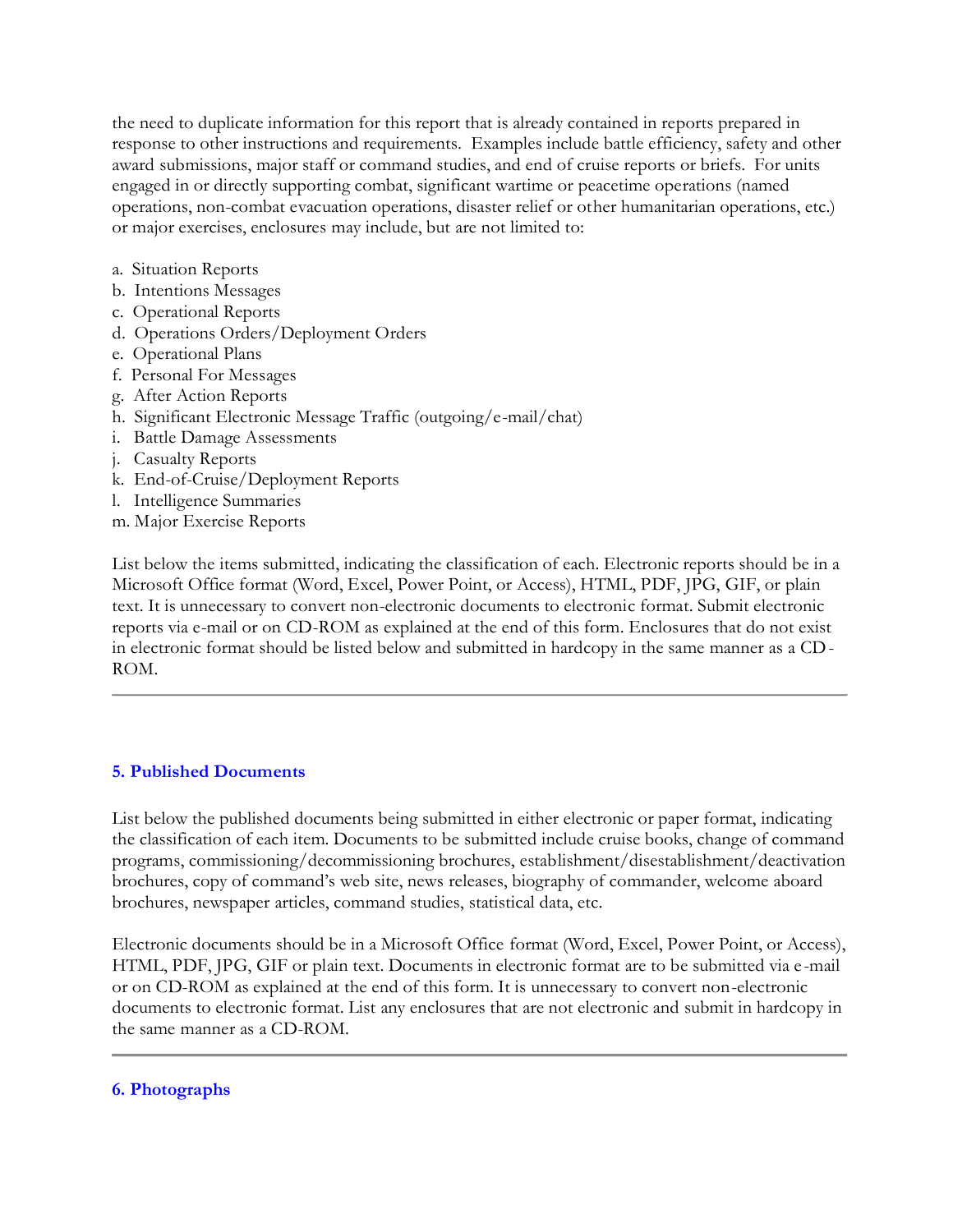the need to duplicate information for this report that is already contained in reports prepared in response to other instructions and requirements. Examples include battle efficiency, safety and other award submissions, major staff or command studies, and end of cruise reports or briefs. For units engaged in or directly supporting combat, significant wartime or peacetime operations (named operations, non-combat evacuation operations, disaster relief or other humanitarian operations, etc.) or major exercises, enclosures may include, but are not limited to:

- a. Situation Reports
- b. Intentions Messages
- c. Operational Reports
- d. Operations Orders/Deployment Orders
- e. Operational Plans
- f. Personal For Messages
- g. After Action Reports
- h. Significant Electronic Message Traffic (outgoing/e-mail/chat)
- i. Battle Damage Assessments
- j. Casualty Reports
- k. End-of-Cruise/Deployment Reports
- l. Intelligence Summaries
- m. Major Exercise Reports

List below the items submitted, indicating the classification of each. Electronic reports should be in a Microsoft Office format (Word, Excel, Power Point, or Access), HTML, PDF, JPG, GIF, or plain text. It is unnecessary to convert non-electronic documents to electronic format. Submit electronic reports via e-mail or on CD-ROM as explained at the end of this form. Enclosures that do not exist in electronic format should be listed below and submitted in hardcopy in the same manner as a CD-ROM.

#### **5. Published Documents**

List below the published documents being submitted in either electronic or paper format, indicating the classification of each item. Documents to be submitted include cruise books, change of command programs, commissioning/decommissioning brochures, establishment/disestablishment/deactivation brochures, copy of command's web site, news releases, biography of commander, welcome aboard brochures, newspaper articles, command studies, statistical data, etc.

Electronic documents should be in a Microsoft Office format (Word, Excel, Power Point, or Access), HTML, PDF, JPG, GIF or plain text. Documents in electronic format are to be submitted via e -mail or on CD-ROM as explained at the end of this form. It is unnecessary to convert non-electronic documents to electronic format. List any enclosures that are not electronic and submit in hardcopy in the same manner as a CD-ROM.

#### **6. Photographs**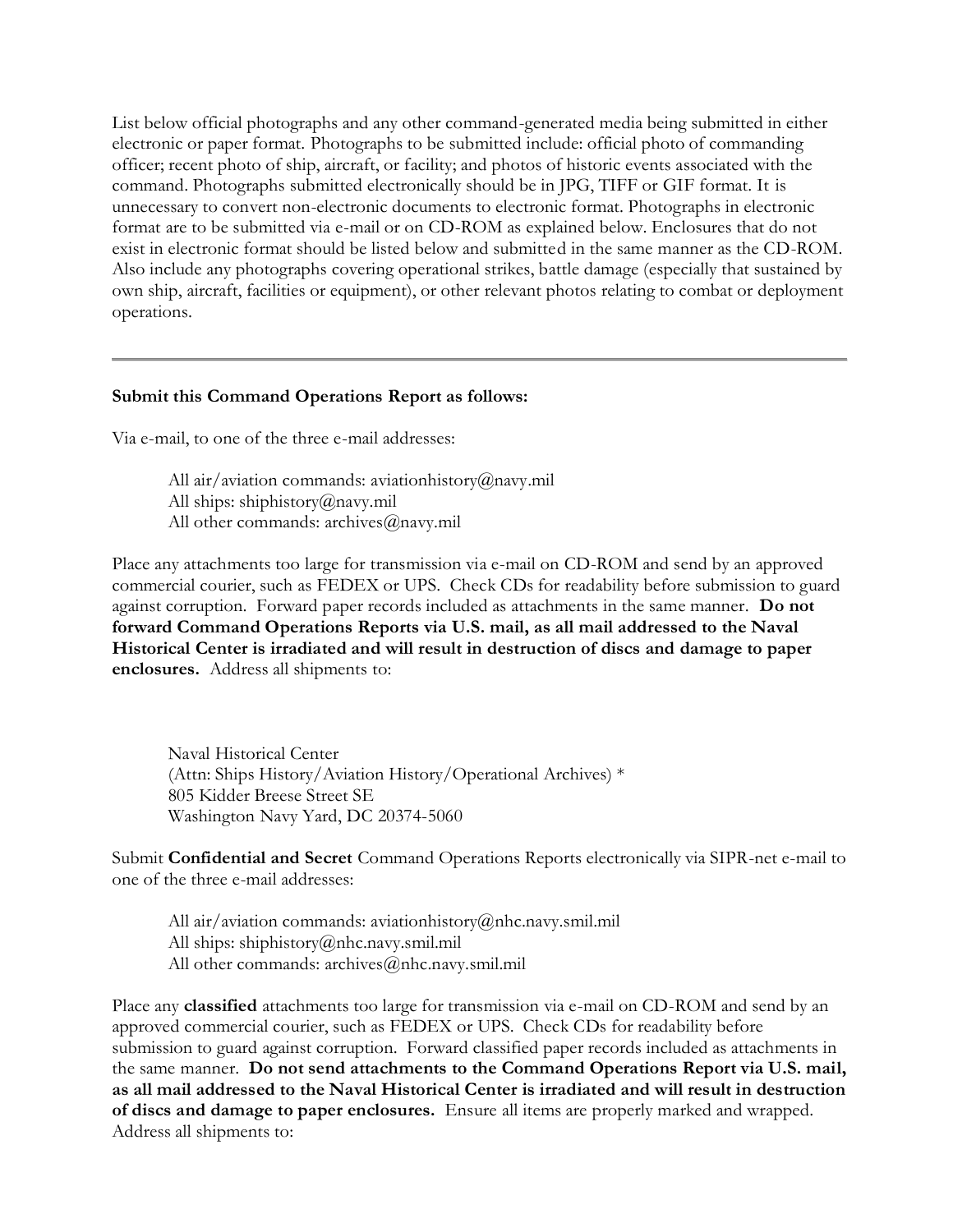List below official photographs and any other command-generated media being submitted in either electronic or paper format. Photographs to be submitted include: official photo of commanding officer; recent photo of ship, aircraft, or facility; and photos of historic events associated with the command. Photographs submitted electronically should be in JPG, TIFF or GIF format. It is unnecessary to convert non-electronic documents to electronic format. Photographs in electronic format are to be submitted via e-mail or on CD-ROM as explained below. Enclosures that do not exist in electronic format should be listed below and submitted in the same manner as the CD-ROM. Also include any photographs covering operational strikes, battle damage (especially that sustained by own ship, aircraft, facilities or equipment), or other relevant photos relating to combat or deployment operations.

#### **Submit this Command Operations Report as follows:**

Via e-mail, to one of the three e-mail addresses:

All air/aviation commands: aviationhistory@navy.mil All ships: shiphistory@navy.mil All other commands: archives@navy.mil

Place any attachments too large for transmission via e-mail on CD-ROM and send by an approved commercial courier, such as FEDEX or UPS. Check CDs for readability before submission to guard against corruption. Forward paper records included as attachments in the same manner. **Do not forward Command Operations Reports via U.S. mail, as all mail addressed to the Naval Historical Center is irradiated and will result in destruction of discs and damage to paper enclosures.** Address all shipments to:

Naval Historical Center (Attn: Ships History/Aviation History/Operational Archives) \* 805 Kidder Breese Street SE Washington Navy Yard, DC 20374-5060

Submit **Confidential and Secret** Command Operations Reports electronically via SIPR-net e-mail to one of the three e-mail addresses:

All air/aviation commands: aviationhistory@nhc.navy.smil.mil All ships: shiphistory@nhc.navy.smil.mil All other commands: archives@nhc.navy.smil.mil

Place any **classified** attachments too large for transmission via e-mail on CD-ROM and send by an approved commercial courier, such as FEDEX or UPS. Check CDs for readability before submission to guard against corruption. Forward classified paper records included as attachments in the same manner. **Do not send attachments to the Command Operations Report via U.S. mail, as all mail addressed to the Naval Historical Center is irradiated and will result in destruction of discs and damage to paper enclosures.** Ensure all items are properly marked and wrapped. Address all shipments to: